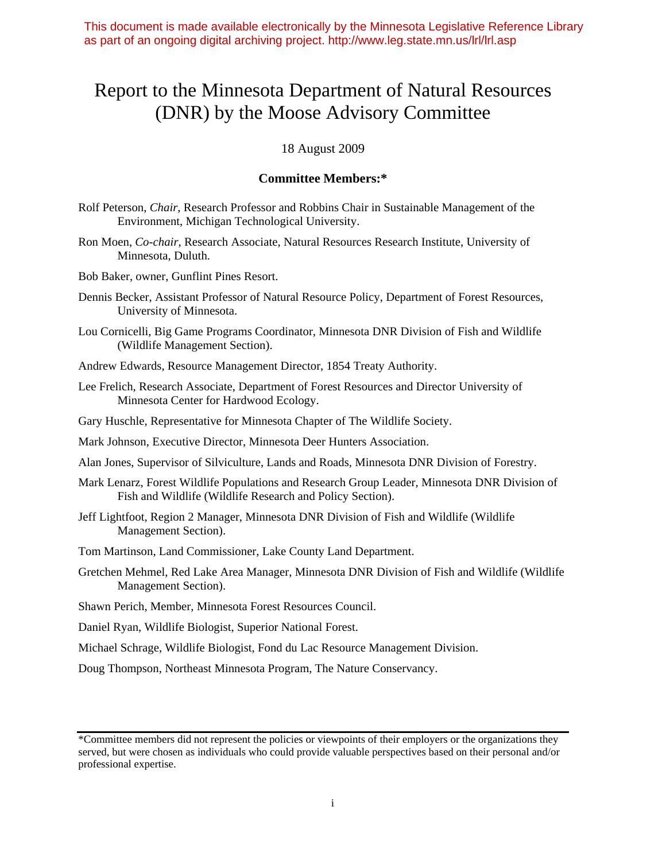This document is made available electronically by the Minnesota Legislative Reference Library as part of an ongoing digital archiving project. http://www.leg.state.mn.us/lrl/lrl.asp

# Report to the Minnesota Department of Natural Resources (DNR) by the Moose Advisory Committee

18 August 2009

#### **Committee Members:\***

- Rolf Peterson, *Chair*, Research Professor and Robbins Chair in Sustainable Management of the Environment, Michigan Technological University.
- Ron Moen, *Co-chair*, Research Associate, Natural Resources Research Institute, University of Minnesota, Duluth.
- Bob Baker, owner, Gunflint Pines Resort.
- Dennis Becker, Assistant Professor of Natural Resource Policy, Department of Forest Resources, University of Minnesota.
- Lou Cornicelli, Big Game Programs Coordinator, Minnesota DNR Division of Fish and Wildlife (Wildlife Management Section).
- Andrew Edwards, Resource Management Director, 1854 Treaty Authority.
- Lee Frelich, Research Associate, Department of Forest Resources and Director University of Minnesota Center for Hardwood Ecology.
- Gary Huschle, Representative for Minnesota Chapter of The Wildlife Society.
- Mark Johnson, Executive Director, Minnesota Deer Hunters Association.
- Alan Jones, Supervisor of Silviculture, Lands and Roads, Minnesota DNR Division of Forestry.
- Mark Lenarz, Forest Wildlife Populations and Research Group Leader, Minnesota DNR Division of Fish and Wildlife (Wildlife Research and Policy Section).
- Jeff Lightfoot, Region 2 Manager, Minnesota DNR Division of Fish and Wildlife (Wildlife Management Section).
- Tom Martinson, Land Commissioner, Lake County Land Department.
- Gretchen Mehmel, Red Lake Area Manager, Minnesota DNR Division of Fish and Wildlife (Wildlife Management Section).
- Shawn Perich, Member, Minnesota Forest Resources Council.
- Daniel Ryan, Wildlife Biologist, Superior National Forest.
- Michael Schrage, Wildlife Biologist, Fond du Lac Resource Management Division.
- Doug Thompson, Northeast Minnesota Program, The Nature Conservancy.

<sup>\*</sup>Committee members did not represent the policies or viewpoints of their employers or the organizations they served, but were chosen as individuals who could provide valuable perspectives based on their personal and/or professional expertise.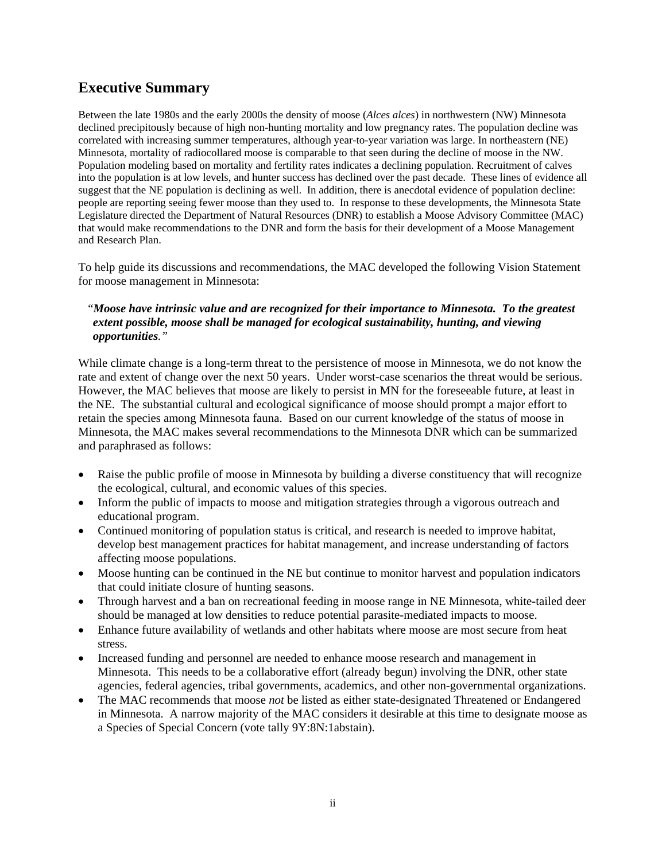## **Executive Summary**

Between the late 1980s and the early 2000s the density of moose (*Alces alces*) in northwestern (NW) Minnesota declined precipitously because of high non-hunting mortality and low pregnancy rates. The population decline was correlated with increasing summer temperatures, although year-to-year variation was large. In northeastern (NE) Minnesota, mortality of radiocollared moose is comparable to that seen during the decline of moose in the NW. Population modeling based on mortality and fertility rates indicates a declining population. Recruitment of calves into the population is at low levels, and hunter success has declined over the past decade. These lines of evidence all suggest that the NE population is declining as well. In addition, there is anecdotal evidence of population decline: people are reporting seeing fewer moose than they used to. In response to these developments, the Minnesota State Legislature directed the Department of Natural Resources (DNR) to establish a Moose Advisory Committee (MAC) that would make recommendations to the DNR and form the basis for their development of a Moose Management and Research Plan.

To help guide its discussions and recommendations, the MAC developed the following Vision Statement for moose management in Minnesota:

#### "*Moose have intrinsic value and are recognized for their importance to Minnesota. To the greatest extent possible, moose shall be managed for ecological sustainability, hunting, and viewing opportunities."*

While climate change is a long-term threat to the persistence of moose in Minnesota, we do not know the rate and extent of change over the next 50 years. Under worst-case scenarios the threat would be serious. However, the MAC believes that moose are likely to persist in MN for the foreseeable future, at least in the NE. The substantial cultural and ecological significance of moose should prompt a major effort to retain the species among Minnesota fauna. Based on our current knowledge of the status of moose in Minnesota, the MAC makes several recommendations to the Minnesota DNR which can be summarized and paraphrased as follows:

- Raise the public profile of moose in Minnesota by building a diverse constituency that will recognize the ecological, cultural, and economic values of this species.
- Inform the public of impacts to moose and mitigation strategies through a vigorous outreach and educational program.
- Continued monitoring of population status is critical, and research is needed to improve habitat, develop best management practices for habitat management, and increase understanding of factors affecting moose populations.
- Moose hunting can be continued in the NE but continue to monitor harvest and population indicators that could initiate closure of hunting seasons.
- Through harvest and a ban on recreational feeding in moose range in NE Minnesota, white-tailed deer should be managed at low densities to reduce potential parasite-mediated impacts to moose.
- Enhance future availability of wetlands and other habitats where moose are most secure from heat stress.
- Increased funding and personnel are needed to enhance moose research and management in Minnesota. This needs to be a collaborative effort (already begun) involving the DNR, other state agencies, federal agencies, tribal governments, academics, and other non-governmental organizations.
- The MAC recommends that moose *not* be listed as either state-designated Threatened or Endangered in Minnesota. A narrow majority of the MAC considers it desirable at this time to designate moose as a Species of Special Concern (vote tally 9Y:8N:1abstain).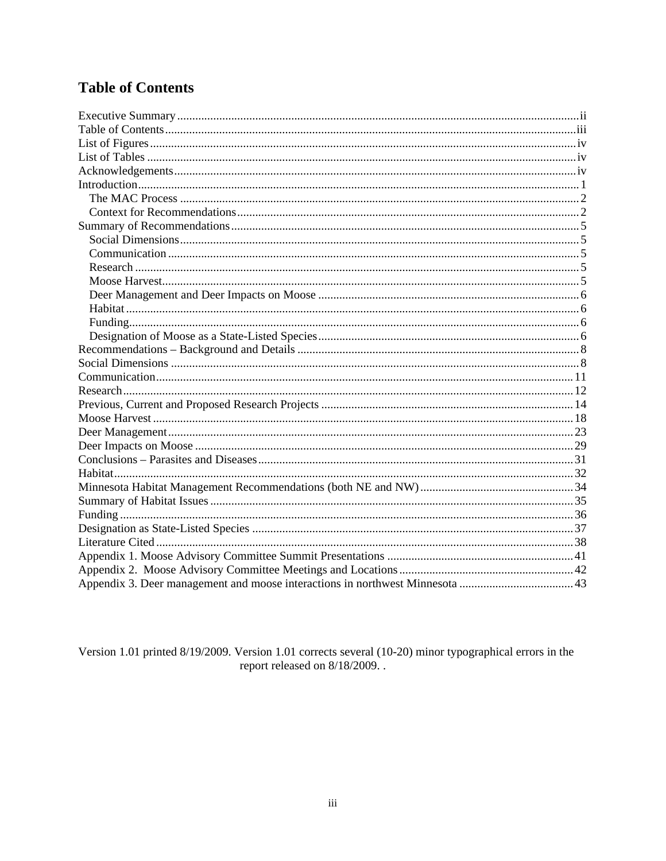## **Table of Contents**

Version 1.01 printed 8/19/2009. Version 1.01 corrects several (10-20) minor typographical errors in the report released on 8/18/2009..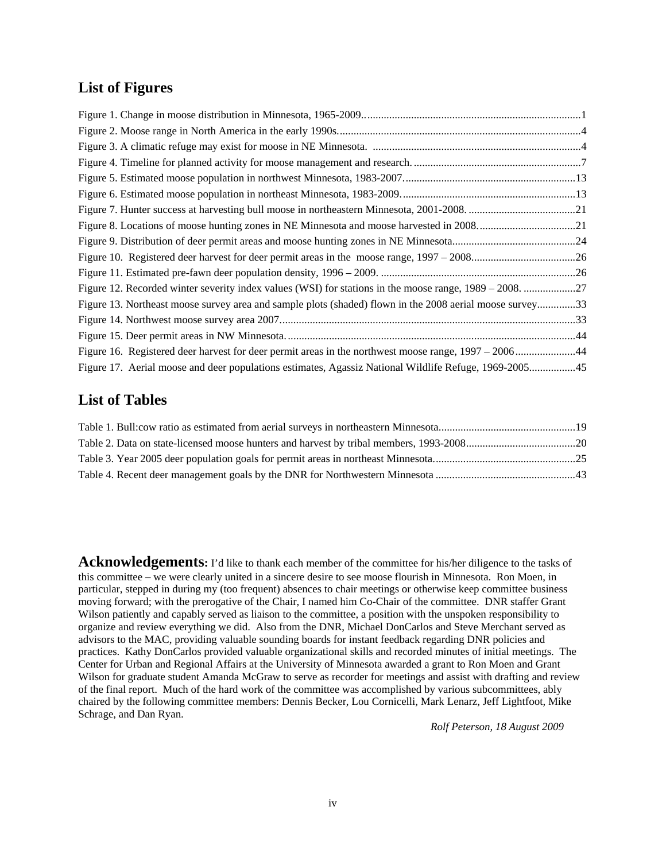### **List of Figures**

| Figure 13. Northeast moose survey area and sample plots (shaded) flown in the 2008 aerial moose survey33 |  |
|----------------------------------------------------------------------------------------------------------|--|
|                                                                                                          |  |
|                                                                                                          |  |
| Figure 16. Registered deer harvest for deer permit areas in the northwest moose range, 1997 – 200644     |  |
| Figure 17. Aerial moose and deer populations estimates, Agassiz National Wildlife Refuge, 1969-200545    |  |

### **List of Tables**

Acknowledgements: I'd like to thank each member of the committee for his/her diligence to the tasks of this committee – we were clearly united in a sincere desire to see moose flourish in Minnesota. Ron Moen, in particular, stepped in during my (too frequent) absences to chair meetings or otherwise keep committee business moving forward; with the prerogative of the Chair, I named him Co-Chair of the committee. DNR staffer Grant Wilson patiently and capably served as liaison to the committee, a position with the unspoken responsibility to organize and review everything we did. Also from the DNR, Michael DonCarlos and Steve Merchant served as advisors to the MAC, providing valuable sounding boards for instant feedback regarding DNR policies and practices. Kathy DonCarlos provided valuable organizational skills and recorded minutes of initial meetings. The Center for Urban and Regional Affairs at the University of Minnesota awarded a grant to Ron Moen and Grant Wilson for graduate student Amanda McGraw to serve as recorder for meetings and assist with drafting and review of the final report. Much of the hard work of the committee was accomplished by various subcommittees, ably chaired by the following committee members: Dennis Becker, Lou Cornicelli, Mark Lenarz, Jeff Lightfoot, Mike Schrage, and Dan Ryan.

*Rolf Peterson, 18 August 2009*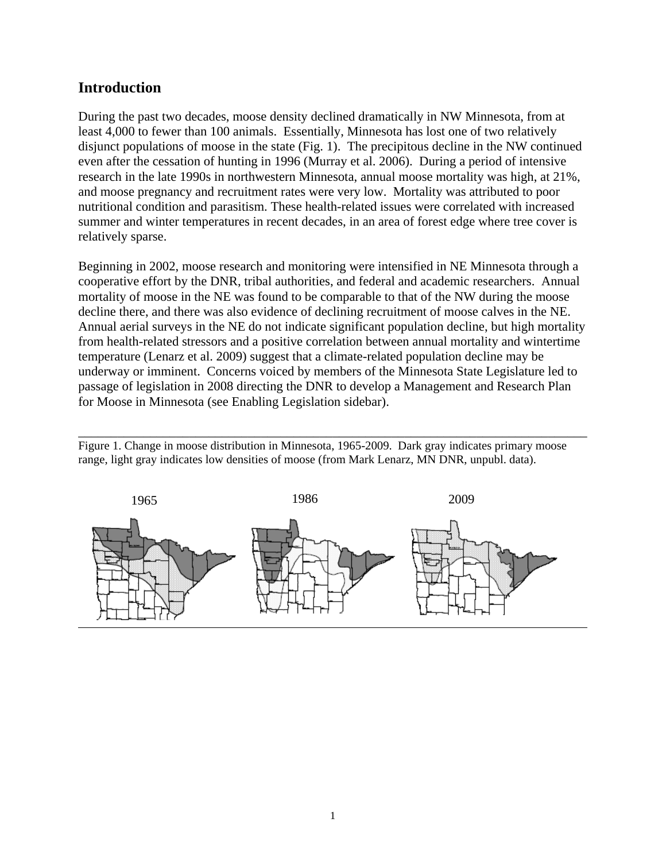### **Introduction**

During the past two decades, moose density declined dramatically in NW Minnesota, from at least 4,000 to fewer than 100 animals. Essentially, Minnesota has lost one of two relatively disjunct populations of moose in the state (Fig. 1). The precipitous decline in the NW continued even after the cessation of hunting in 1996 (Murray et al. 2006). During a period of intensive research in the late 1990s in northwestern Minnesota, annual moose mortality was high, at 21%, and moose pregnancy and recruitment rates were very low. Mortality was attributed to poor nutritional condition and parasitism. These health-related issues were correlated with increased summer and winter temperatures in recent decades, in an area of forest edge where tree cover is relatively sparse.

Beginning in 2002, moose research and monitoring were intensified in NE Minnesota through a cooperative effort by the DNR, tribal authorities, and federal and academic researchers. Annual mortality of moose in the NE was found to be comparable to that of the NW during the moose decline there, and there was also evidence of declining recruitment of moose calves in the NE. Annual aerial surveys in the NE do not indicate significant population decline, but high mortality from health-related stressors and a positive correlation between annual mortality and wintertime temperature (Lenarz et al. 2009) suggest that a climate-related population decline may be underway or imminent. Concerns voiced by members of the Minnesota State Legislature led to passage of legislation in 2008 directing the DNR to develop a Management and Research Plan for Moose in Minnesota (see Enabling Legislation sidebar).

Figure 1. Change in moose distribution in Minnesota, 1965-2009. Dark gray indicates primary moose range, light gray indicates low densities of moose (from Mark Lenarz, MN DNR, unpubl. data).

\_\_\_\_\_\_\_\_\_\_\_\_\_\_\_\_\_\_\_\_\_\_\_\_\_\_\_\_\_\_\_\_\_\_\_\_\_\_\_\_\_\_\_\_\_\_\_\_\_\_\_\_\_\_\_\_\_\_\_\_\_\_\_\_\_\_\_\_\_\_\_\_\_\_\_\_\_\_

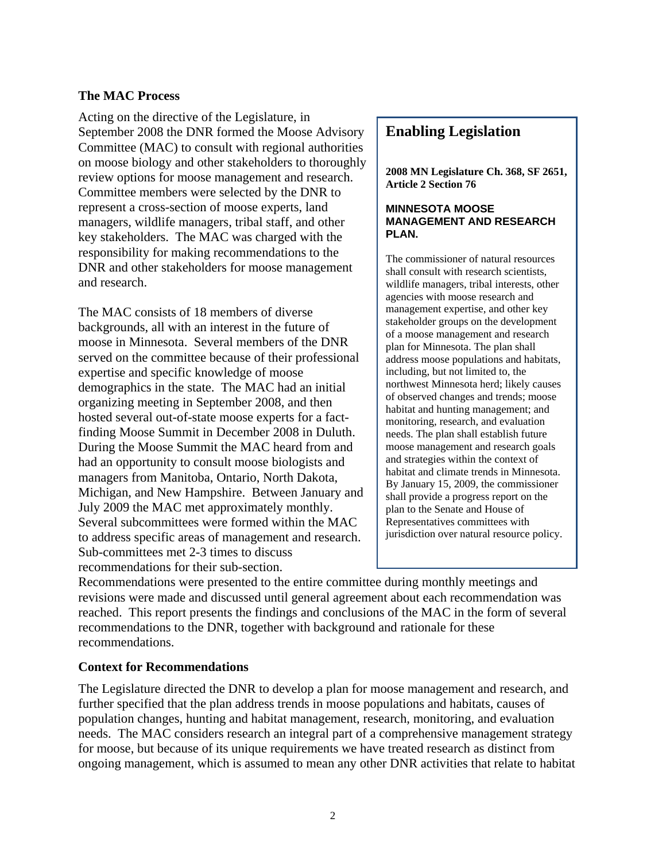#### **The MAC Process**

Acting on the directive of the Legislature, in September 2008 the DNR formed the Moose Advisory Committee (MAC) to consult with regional authorities on moose biology and other stakeholders to thoroughly review options for moose management and research. Committee members were selected by the DNR to represent a cross-section of moose experts, land managers, wildlife managers, tribal staff, and other key stakeholders. The MAC was charged with the responsibility for making recommendations to the DNR and other stakeholders for moose management and research.

The MAC consists of 18 members of diverse backgrounds, all with an interest in the future of moose in Minnesota. Several members of the DNR served on the committee because of their professional expertise and specific knowledge of moose demographics in the state. The MAC had an initial organizing meeting in September 2008, and then hosted several out-of-state moose experts for a factfinding Moose Summit in December 2008 in Duluth. During the Moose Summit the MAC heard from and had an opportunity to consult moose biologists and managers from Manitoba, Ontario, North Dakota, Michigan, and New Hampshire. Between January and July 2009 the MAC met approximately monthly. Several subcommittees were formed within the MAC to address specific areas of management and research. Sub-committees met 2-3 times to discuss recommendations for their sub-section.

### **Enabling Legislation**

**2008 MN Legislature Ch. 368, SF 2651, Article 2 Section 76** 

#### **MINNESOTA MOOSE MANAGEMENT AND RESEARCH PLAN.**

The commissioner of natural resources shall consult with research scientists, wildlife managers, tribal interests, other agencies with moose research and management expertise, and other key stakeholder groups on the development of a moose management and research plan for Minnesota. The plan shall address moose populations and habitats, including, but not limited to, the northwest Minnesota herd; likely causes of observed changes and trends; moose habitat and hunting management; and monitoring, research, and evaluation needs. The plan shall establish future moose management and research goals and strategies within the context of habitat and climate trends in Minnesota. By January 15, 2009, the commissioner shall provide a progress report on the plan to the Senate and House of Representatives committees with jurisdiction over natural resource policy.

Recommendations were presented to the entire committee during monthly meetings and revisions were made and discussed until general agreement about each recommendation was reached. This report presents the findings and conclusions of the MAC in the form of several recommendations to the DNR, together with background and rationale for these recommendations.

#### **Context for Recommendations**

The Legislature directed the DNR to develop a plan for moose management and research, and further specified that the plan address trends in moose populations and habitats, causes of population changes, hunting and habitat management, research, monitoring, and evaluation needs. The MAC considers research an integral part of a comprehensive management strategy for moose, but because of its unique requirements we have treated research as distinct from ongoing management, which is assumed to mean any other DNR activities that relate to habitat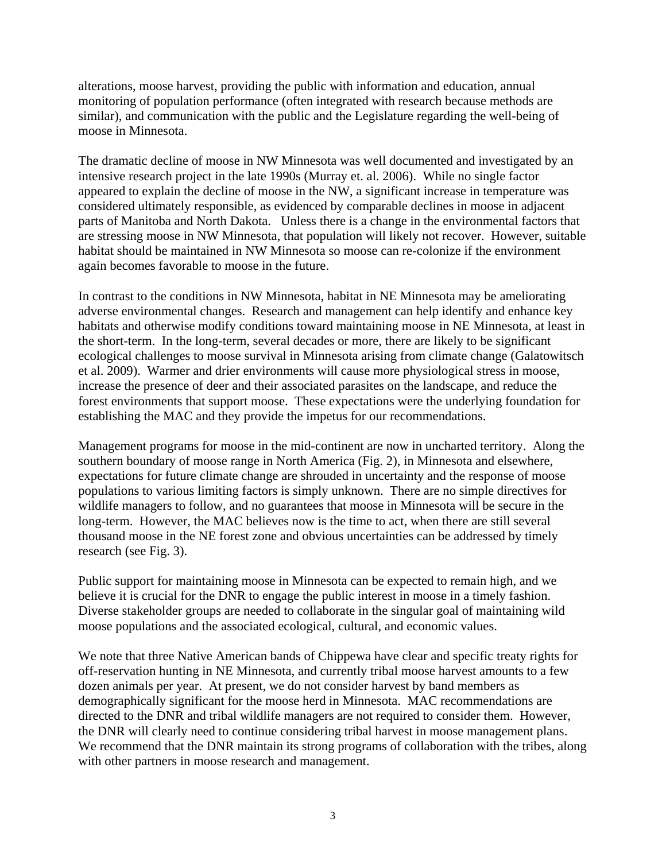alterations, moose harvest, providing the public with information and education, annual monitoring of population performance (often integrated with research because methods are similar), and communication with the public and the Legislature regarding the well-being of moose in Minnesota.

The dramatic decline of moose in NW Minnesota was well documented and investigated by an intensive research project in the late 1990s (Murray et. al. 2006). While no single factor appeared to explain the decline of moose in the NW, a significant increase in temperature was considered ultimately responsible, as evidenced by comparable declines in moose in adjacent parts of Manitoba and North Dakota. Unless there is a change in the environmental factors that are stressing moose in NW Minnesota, that population will likely not recover. However, suitable habitat should be maintained in NW Minnesota so moose can re-colonize if the environment again becomes favorable to moose in the future.

In contrast to the conditions in NW Minnesota, habitat in NE Minnesota may be ameliorating adverse environmental changes. Research and management can help identify and enhance key habitats and otherwise modify conditions toward maintaining moose in NE Minnesota, at least in the short-term. In the long-term, several decades or more, there are likely to be significant ecological challenges to moose survival in Minnesota arising from climate change (Galatowitsch et al. 2009). Warmer and drier environments will cause more physiological stress in moose, increase the presence of deer and their associated parasites on the landscape, and reduce the forest environments that support moose. These expectations were the underlying foundation for establishing the MAC and they provide the impetus for our recommendations.

Management programs for moose in the mid-continent are now in uncharted territory. Along the southern boundary of moose range in North America (Fig. 2), in Minnesota and elsewhere, expectations for future climate change are shrouded in uncertainty and the response of moose populations to various limiting factors is simply unknown. There are no simple directives for wildlife managers to follow, and no guarantees that moose in Minnesota will be secure in the long-term. However, the MAC believes now is the time to act, when there are still several thousand moose in the NE forest zone and obvious uncertainties can be addressed by timely research (see Fig. 3).

Public support for maintaining moose in Minnesota can be expected to remain high, and we believe it is crucial for the DNR to engage the public interest in moose in a timely fashion. Diverse stakeholder groups are needed to collaborate in the singular goal of maintaining wild moose populations and the associated ecological, cultural, and economic values.

We note that three Native American bands of Chippewa have clear and specific treaty rights for off-reservation hunting in NE Minnesota, and currently tribal moose harvest amounts to a few dozen animals per year. At present, we do not consider harvest by band members as demographically significant for the moose herd in Minnesota. MAC recommendations are directed to the DNR and tribal wildlife managers are not required to consider them. However, the DNR will clearly need to continue considering tribal harvest in moose management plans. We recommend that the DNR maintain its strong programs of collaboration with the tribes, along with other partners in moose research and management.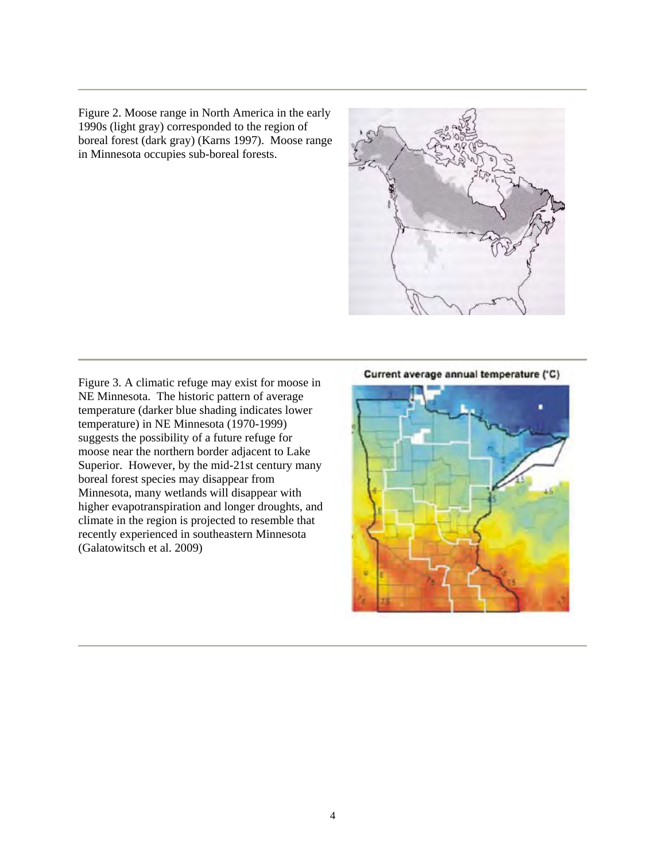Figure 2. Moose range in North America in the early 1990s (light gray) corresponded to the region of boreal forest (dark gray) (Karns 1997). Moose range in Minnesota occupies sub-boreal forests.



Figure 3. A climatic refuge may exist for moose in NE Minnesota. The historic pattern of average temperature (darker blue shading indicates lower temperature) in NE Minnesota (1970-1999) suggests the possibility of a future refuge for moose near the northern border adjacent to Lake Superior. However, by the mid-21st century many boreal forest species may disappear from Minnesota, many wetlands will disappear with higher evapotranspiration and longer droughts, and climate in the region is projected to resemble that recently experienced in southeastern Minnesota (Galatowitsch et al. 2009)

Current average annual temperature ('C)

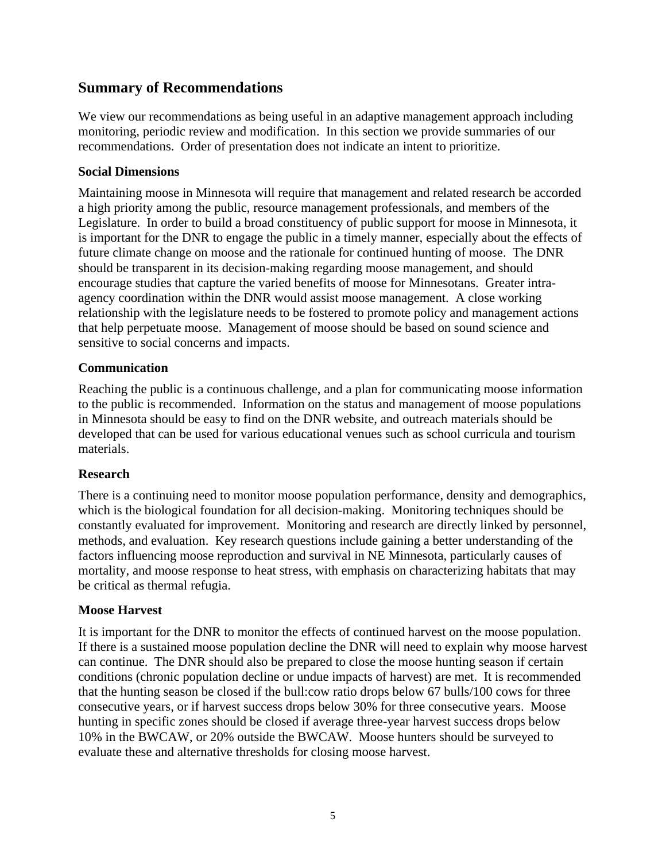### **Summary of Recommendations**

We view our recommendations as being useful in an adaptive management approach including monitoring, periodic review and modification. In this section we provide summaries of our recommendations. Order of presentation does not indicate an intent to prioritize.

### **Social Dimensions**

Maintaining moose in Minnesota will require that management and related research be accorded a high priority among the public, resource management professionals, and members of the Legislature. In order to build a broad constituency of public support for moose in Minnesota, it is important for the DNR to engage the public in a timely manner, especially about the effects of future climate change on moose and the rationale for continued hunting of moose. The DNR should be transparent in its decision-making regarding moose management, and should encourage studies that capture the varied benefits of moose for Minnesotans. Greater intraagency coordination within the DNR would assist moose management. A close working relationship with the legislature needs to be fostered to promote policy and management actions that help perpetuate moose. Management of moose should be based on sound science and sensitive to social concerns and impacts.

### **Communication**

Reaching the public is a continuous challenge, and a plan for communicating moose information to the public is recommended. Information on the status and management of moose populations in Minnesota should be easy to find on the DNR website, and outreach materials should be developed that can be used for various educational venues such as school curricula and tourism materials.

### **Research**

There is a continuing need to monitor moose population performance, density and demographics, which is the biological foundation for all decision-making. Monitoring techniques should be constantly evaluated for improvement. Monitoring and research are directly linked by personnel, methods, and evaluation. Key research questions include gaining a better understanding of the factors influencing moose reproduction and survival in NE Minnesota, particularly causes of mortality, and moose response to heat stress, with emphasis on characterizing habitats that may be critical as thermal refugia.

### **Moose Harvest**

It is important for the DNR to monitor the effects of continued harvest on the moose population. If there is a sustained moose population decline the DNR will need to explain why moose harvest can continue. The DNR should also be prepared to close the moose hunting season if certain conditions (chronic population decline or undue impacts of harvest) are met. It is recommended that the hunting season be closed if the bull:cow ratio drops below 67 bulls/100 cows for three consecutive years, or if harvest success drops below 30% for three consecutive years. Moose hunting in specific zones should be closed if average three-year harvest success drops below 10% in the BWCAW, or 20% outside the BWCAW. Moose hunters should be surveyed to evaluate these and alternative thresholds for closing moose harvest.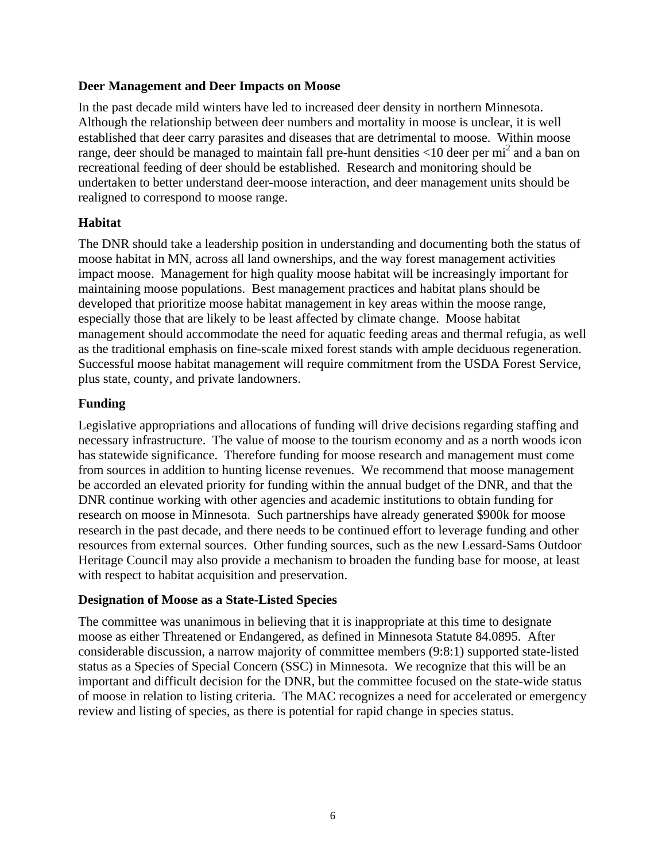### **Deer Management and Deer Impacts on Moose**

In the past decade mild winters have led to increased deer density in northern Minnesota. Although the relationship between deer numbers and mortality in moose is unclear, it is well established that deer carry parasites and diseases that are detrimental to moose. Within moose range, deer should be managed to maintain fall pre-hunt densities  $\langle 10 \text{ deer per mi}^2$  and a ban on recreational feeding of deer should be established. Research and monitoring should be undertaken to better understand deer-moose interaction, and deer management units should be realigned to correspond to moose range.

### **Habitat**

The DNR should take a leadership position in understanding and documenting both the status of moose habitat in MN, across all land ownerships, and the way forest management activities impact moose. Management for high quality moose habitat will be increasingly important for maintaining moose populations. Best management practices and habitat plans should be developed that prioritize moose habitat management in key areas within the moose range, especially those that are likely to be least affected by climate change. Moose habitat management should accommodate the need for aquatic feeding areas and thermal refugia, as well as the traditional emphasis on fine-scale mixed forest stands with ample deciduous regeneration. Successful moose habitat management will require commitment from the USDA Forest Service, plus state, county, and private landowners.

### **Funding**

Legislative appropriations and allocations of funding will drive decisions regarding staffing and necessary infrastructure. The value of moose to the tourism economy and as a north woods icon has statewide significance. Therefore funding for moose research and management must come from sources in addition to hunting license revenues. We recommend that moose management be accorded an elevated priority for funding within the annual budget of the DNR, and that the DNR continue working with other agencies and academic institutions to obtain funding for research on moose in Minnesota. Such partnerships have already generated \$900k for moose research in the past decade, and there needs to be continued effort to leverage funding and other resources from external sources. Other funding sources, such as the new Lessard-Sams Outdoor Heritage Council may also provide a mechanism to broaden the funding base for moose, at least with respect to habitat acquisition and preservation.

### **Designation of Moose as a State-Listed Species**

The committee was unanimous in believing that it is inappropriate at this time to designate moose as either Threatened or Endangered, as defined in Minnesota Statute 84.0895. After considerable discussion, a narrow majority of committee members (9:8:1) supported state-listed status as a Species of Special Concern (SSC) in Minnesota. We recognize that this will be an important and difficult decision for the DNR, but the committee focused on the state-wide status of moose in relation to listing criteria. The MAC recognizes a need for accelerated or emergency review and listing of species, as there is potential for rapid change in species status.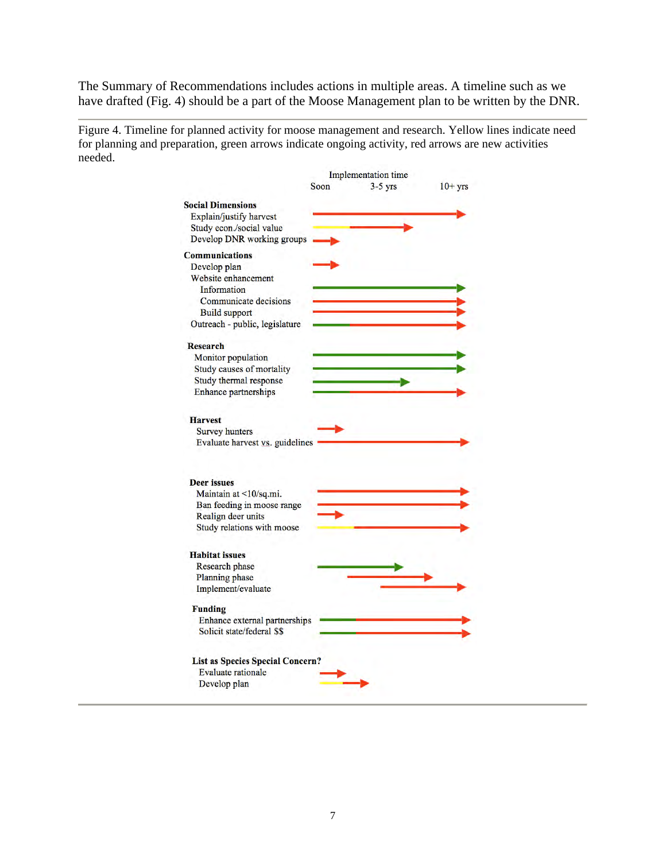The Summary of Recommendations includes actions in multiple areas. A timeline such as we have drafted (Fig. 4) should be a part of the Moose Management plan to be written by the DNR.

Figure 4. Timeline for planned activity for moose management and research. Yellow lines indicate need for planning and preparation, green arrows indicate ongoing activity, red arrows are new activities needed.

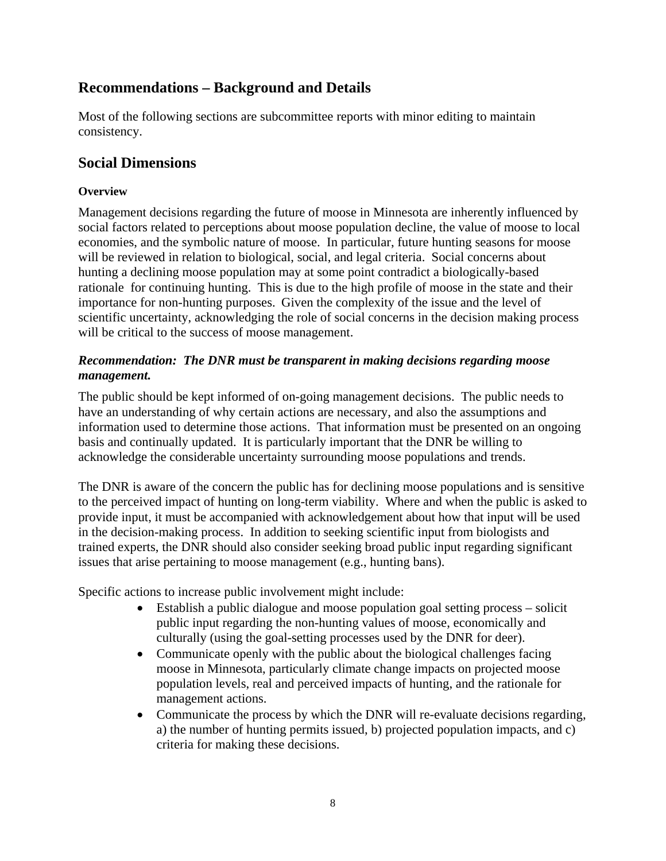## **Recommendations – Background and Details**

Most of the following sections are subcommittee reports with minor editing to maintain consistency.

## **Social Dimensions**

### **Overview**

Management decisions regarding the future of moose in Minnesota are inherently influenced by social factors related to perceptions about moose population decline, the value of moose to local economies, and the symbolic nature of moose. In particular, future hunting seasons for moose will be reviewed in relation to biological, social, and legal criteria. Social concerns about hunting a declining moose population may at some point contradict a biologically-based rationale for continuing hunting. This is due to the high profile of moose in the state and their importance for non-hunting purposes. Given the complexity of the issue and the level of scientific uncertainty, acknowledging the role of social concerns in the decision making process will be critical to the success of moose management.

### *Recommendation: The DNR must be transparent in making decisions regarding moose management.*

The public should be kept informed of on-going management decisions. The public needs to have an understanding of why certain actions are necessary, and also the assumptions and information used to determine those actions. That information must be presented on an ongoing basis and continually updated. It is particularly important that the DNR be willing to acknowledge the considerable uncertainty surrounding moose populations and trends.

The DNR is aware of the concern the public has for declining moose populations and is sensitive to the perceived impact of hunting on long-term viability. Where and when the public is asked to provide input, it must be accompanied with acknowledgement about how that input will be used in the decision-making process. In addition to seeking scientific input from biologists and trained experts, the DNR should also consider seeking broad public input regarding significant issues that arise pertaining to moose management (e.g., hunting bans).

Specific actions to increase public involvement might include:

- Establish a public dialogue and moose population goal setting process solicit public input regarding the non-hunting values of moose, economically and culturally (using the goal-setting processes used by the DNR for deer).
- Communicate openly with the public about the biological challenges facing moose in Minnesota, particularly climate change impacts on projected moose population levels, real and perceived impacts of hunting, and the rationale for management actions.
- Communicate the process by which the DNR will re-evaluate decisions regarding, a) the number of hunting permits issued, b) projected population impacts, and c) criteria for making these decisions.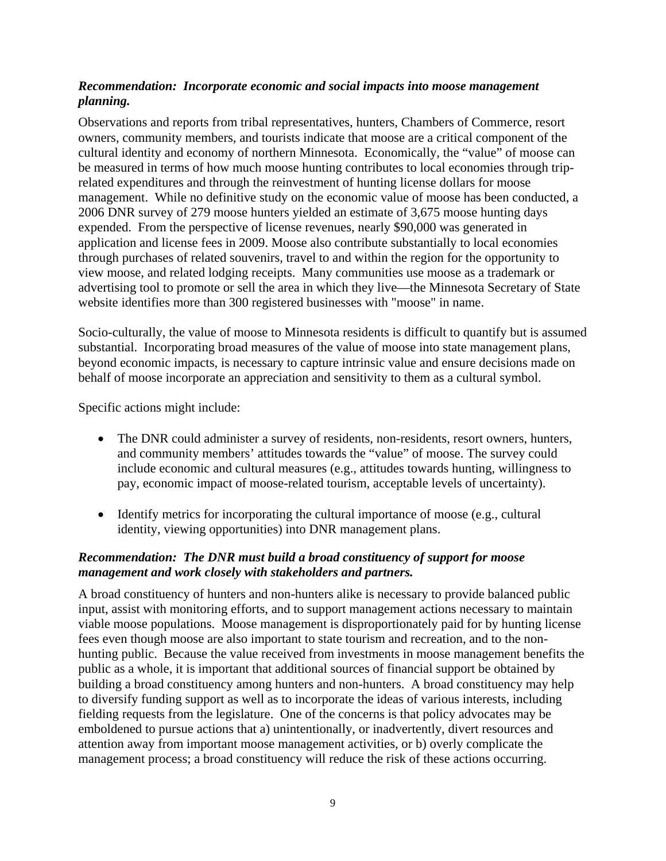### *Recommendation: Incorporate economic and social impacts into moose management planning.*

Observations and reports from tribal representatives, hunters, Chambers of Commerce, resort owners, community members, and tourists indicate that moose are a critical component of the cultural identity and economy of northern Minnesota. Economically, the "value" of moose can be measured in terms of how much moose hunting contributes to local economies through triprelated expenditures and through the reinvestment of hunting license dollars for moose management. While no definitive study on the economic value of moose has been conducted, a 2006 DNR survey of 279 moose hunters yielded an estimate of 3,675 moose hunting days expended. From the perspective of license revenues, nearly \$90,000 was generated in application and license fees in 2009. Moose also contribute substantially to local economies through purchases of related souvenirs, travel to and within the region for the opportunity to view moose, and related lodging receipts. Many communities use moose as a trademark or advertising tool to promote or sell the area in which they live—the Minnesota Secretary of State website identifies more than 300 registered businesses with "moose" in name.

Socio-culturally, the value of moose to Minnesota residents is difficult to quantify but is assumed substantial. Incorporating broad measures of the value of moose into state management plans, beyond economic impacts, is necessary to capture intrinsic value and ensure decisions made on behalf of moose incorporate an appreciation and sensitivity to them as a cultural symbol.

Specific actions might include:

- The DNR could administer a survey of residents, non-residents, resort owners, hunters, and community members' attitudes towards the "value" of moose. The survey could include economic and cultural measures (e.g., attitudes towards hunting, willingness to pay, economic impact of moose-related tourism, acceptable levels of uncertainty).
- Identify metrics for incorporating the cultural importance of moose (e.g., cultural identity, viewing opportunities) into DNR management plans.

### *Recommendation: The DNR must build a broad constituency of support for moose management and work closely with stakeholders and partners.*

A broad constituency of hunters and non-hunters alike is necessary to provide balanced public input, assist with monitoring efforts, and to support management actions necessary to maintain viable moose populations. Moose management is disproportionately paid for by hunting license fees even though moose are also important to state tourism and recreation, and to the nonhunting public. Because the value received from investments in moose management benefits the public as a whole, it is important that additional sources of financial support be obtained by building a broad constituency among hunters and non-hunters. A broad constituency may help to diversify funding support as well as to incorporate the ideas of various interests, including fielding requests from the legislature. One of the concerns is that policy advocates may be emboldened to pursue actions that a) unintentionally, or inadvertently, divert resources and attention away from important moose management activities, or b) overly complicate the management process; a broad constituency will reduce the risk of these actions occurring.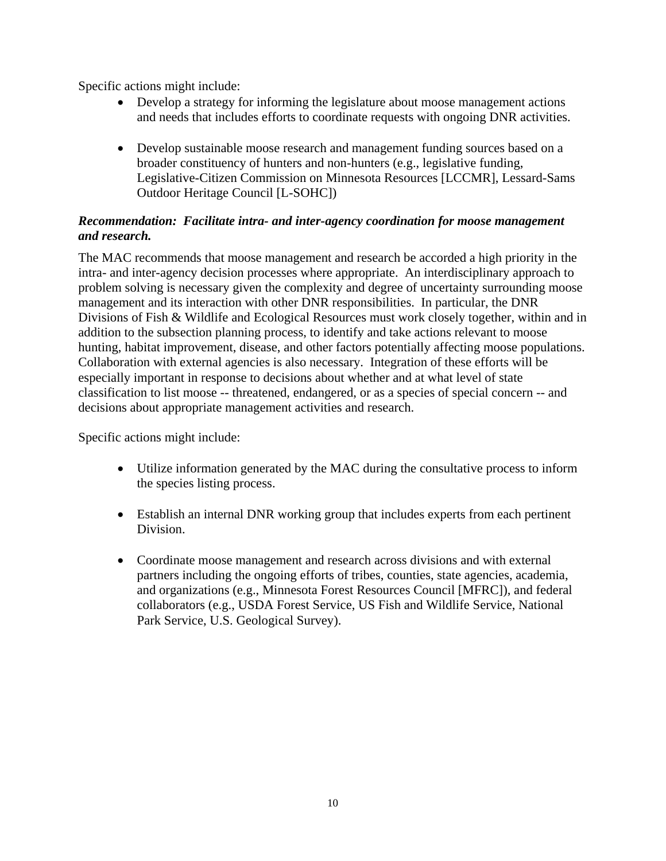Specific actions might include:

- Develop a strategy for informing the legislature about moose management actions and needs that includes efforts to coordinate requests with ongoing DNR activities.
- Develop sustainable moose research and management funding sources based on a broader constituency of hunters and non-hunters (e.g., legislative funding, Legislative-Citizen Commission on Minnesota Resources [LCCMR], Lessard-Sams Outdoor Heritage Council [L-SOHC])

### *Recommendation: Facilitate intra- and inter-agency coordination for moose management and research.*

The MAC recommends that moose management and research be accorded a high priority in the intra- and inter-agency decision processes where appropriate. An interdisciplinary approach to problem solving is necessary given the complexity and degree of uncertainty surrounding moose management and its interaction with other DNR responsibilities. In particular, the DNR Divisions of Fish & Wildlife and Ecological Resources must work closely together, within and in addition to the subsection planning process, to identify and take actions relevant to moose hunting, habitat improvement, disease, and other factors potentially affecting moose populations. Collaboration with external agencies is also necessary. Integration of these efforts will be especially important in response to decisions about whether and at what level of state classification to list moose -- threatened, endangered, or as a species of special concern -- and decisions about appropriate management activities and research.

Specific actions might include:

- Utilize information generated by the MAC during the consultative process to inform the species listing process.
- Establish an internal DNR working group that includes experts from each pertinent Division.
- Coordinate moose management and research across divisions and with external partners including the ongoing efforts of tribes, counties, state agencies, academia, and organizations (e.g., Minnesota Forest Resources Council [MFRC]), and federal collaborators (e.g., USDA Forest Service, US Fish and Wildlife Service, National Park Service, U.S. Geological Survey).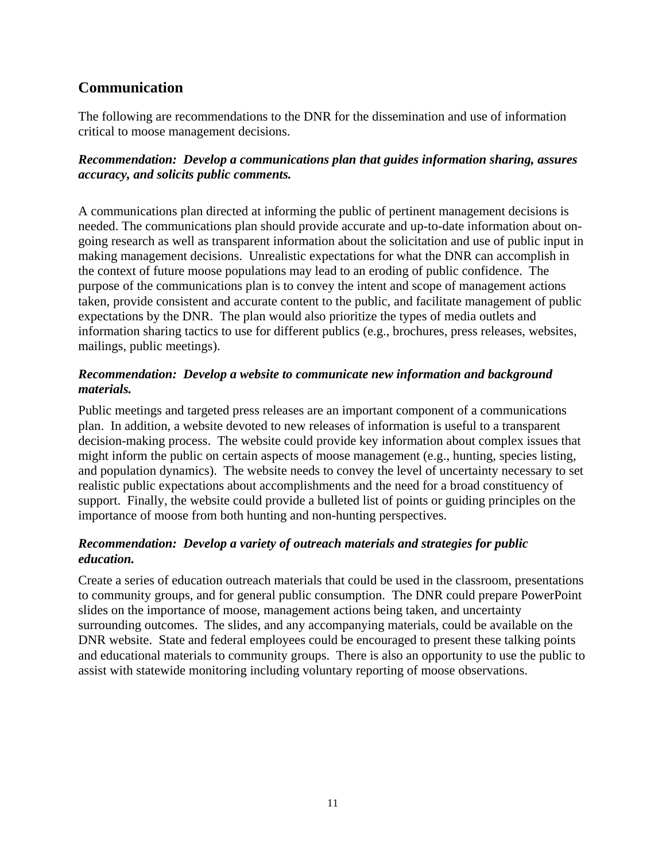## **Communication**

The following are recommendations to the DNR for the dissemination and use of information critical to moose management decisions.

### *Recommendation: Develop a communications plan that guides information sharing, assures accuracy, and solicits public comments.*

A communications plan directed at informing the public of pertinent management decisions is needed. The communications plan should provide accurate and up-to-date information about ongoing research as well as transparent information about the solicitation and use of public input in making management decisions. Unrealistic expectations for what the DNR can accomplish in the context of future moose populations may lead to an eroding of public confidence. The purpose of the communications plan is to convey the intent and scope of management actions taken, provide consistent and accurate content to the public, and facilitate management of public expectations by the DNR. The plan would also prioritize the types of media outlets and information sharing tactics to use for different publics (e.g., brochures, press releases, websites, mailings, public meetings).

### *Recommendation: Develop a website to communicate new information and background materials.*

Public meetings and targeted press releases are an important component of a communications plan. In addition, a website devoted to new releases of information is useful to a transparent decision-making process. The website could provide key information about complex issues that might inform the public on certain aspects of moose management (e.g., hunting, species listing, and population dynamics). The website needs to convey the level of uncertainty necessary to set realistic public expectations about accomplishments and the need for a broad constituency of support. Finally, the website could provide a bulleted list of points or guiding principles on the importance of moose from both hunting and non-hunting perspectives.

### *Recommendation: Develop a variety of outreach materials and strategies for public education.*

Create a series of education outreach materials that could be used in the classroom, presentations to community groups, and for general public consumption. The DNR could prepare PowerPoint slides on the importance of moose, management actions being taken, and uncertainty surrounding outcomes. The slides, and any accompanying materials, could be available on the DNR website. State and federal employees could be encouraged to present these talking points and educational materials to community groups. There is also an opportunity to use the public to assist with statewide monitoring including voluntary reporting of moose observations.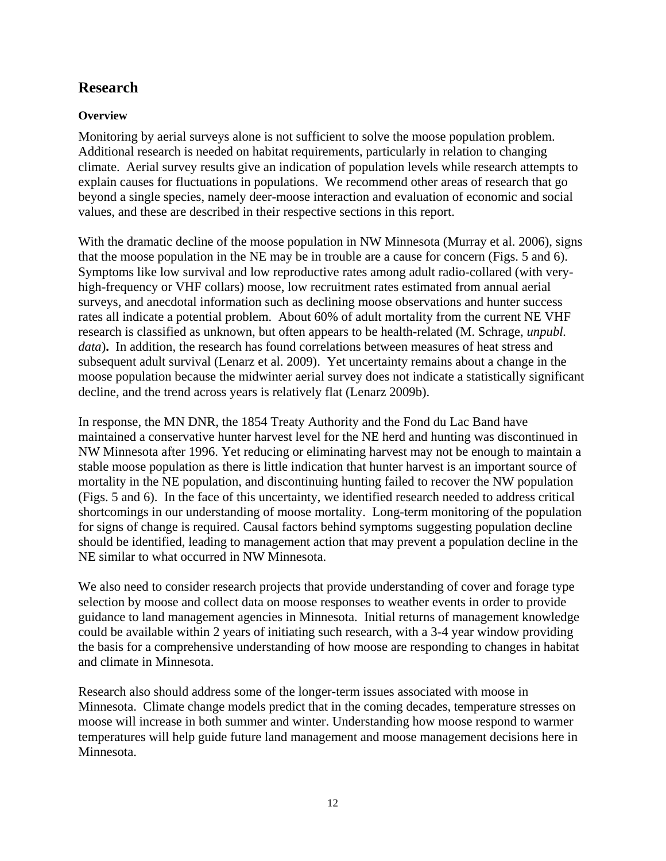## **Research**

### **Overview**

Monitoring by aerial surveys alone is not sufficient to solve the moose population problem. Additional research is needed on habitat requirements, particularly in relation to changing climate. Aerial survey results give an indication of population levels while research attempts to explain causes for fluctuations in populations. We recommend other areas of research that go beyond a single species, namely deer-moose interaction and evaluation of economic and social values, and these are described in their respective sections in this report.

With the dramatic decline of the moose population in NW Minnesota (Murray et al. 2006), signs that the moose population in the NE may be in trouble are a cause for concern (Figs. 5 and 6). Symptoms like low survival and low reproductive rates among adult radio-collared (with veryhigh-frequency or VHF collars) moose, low recruitment rates estimated from annual aerial surveys, and anecdotal information such as declining moose observations and hunter success rates all indicate a potential problem. About 60% of adult mortality from the current NE VHF research is classified as unknown, but often appears to be health-related (M. Schrage, *unpubl. data*). In addition, the research has found correlations between measures of heat stress and subsequent adult survival (Lenarz et al. 2009). Yet uncertainty remains about a change in the moose population because the midwinter aerial survey does not indicate a statistically significant decline, and the trend across years is relatively flat (Lenarz 2009b).

In response, the MN DNR, the 1854 Treaty Authority and the Fond du Lac Band have maintained a conservative hunter harvest level for the NE herd and hunting was discontinued in NW Minnesota after 1996. Yet reducing or eliminating harvest may not be enough to maintain a stable moose population as there is little indication that hunter harvest is an important source of mortality in the NE population, and discontinuing hunting failed to recover the NW population (Figs. 5 and 6). In the face of this uncertainty, we identified research needed to address critical shortcomings in our understanding of moose mortality. Long-term monitoring of the population for signs of change is required. Causal factors behind symptoms suggesting population decline should be identified, leading to management action that may prevent a population decline in the NE similar to what occurred in NW Minnesota.

We also need to consider research projects that provide understanding of cover and forage type selection by moose and collect data on moose responses to weather events in order to provide guidance to land management agencies in Minnesota. Initial returns of management knowledge could be available within 2 years of initiating such research, with a 3-4 year window providing the basis for a comprehensive understanding of how moose are responding to changes in habitat and climate in Minnesota.

Research also should address some of the longer-term issues associated with moose in Minnesota. Climate change models predict that in the coming decades, temperature stresses on moose will increase in both summer and winter. Understanding how moose respond to warmer temperatures will help guide future land management and moose management decisions here in Minnesota.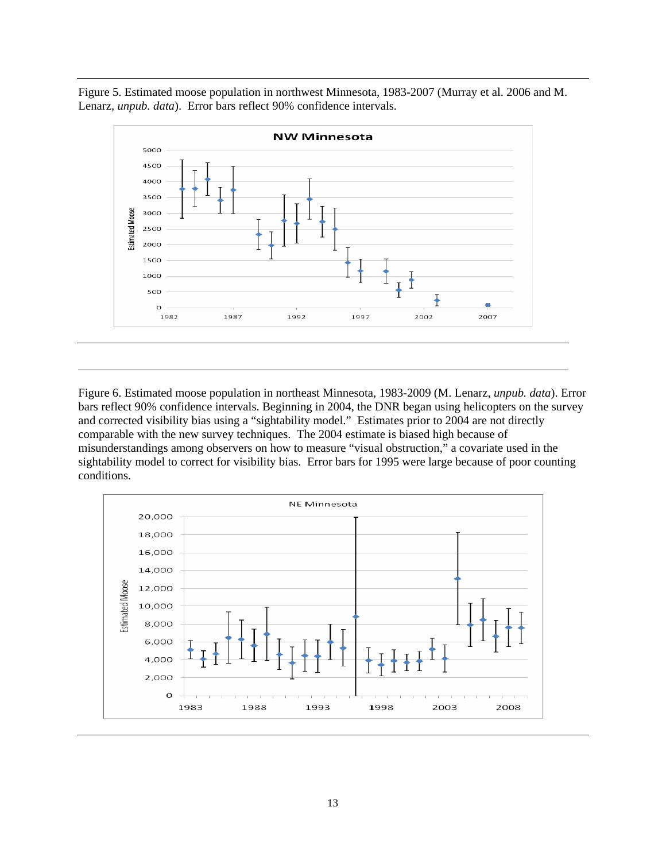Figure 5. Estimated moose population in northwest Minnesota, 1983-2007 (Murray et al. 2006 and M. Lenarz, *unpub. data*). Error bars reflect 90% confidence intervals.



Figure 6. Estimated moose population in northeast Minnesota, 1983-2009 (M. Lenarz, *unpub. data*). Error bars reflect 90% confidence intervals. Beginning in 2004, the DNR began using helicopters on the survey and corrected visibility bias using a "sightability model." Estimates prior to 2004 are not directly comparable with the new survey techniques. The 2004 estimate is biased high because of misunderstandings among observers on how to measure "visual obstruction," a covariate used in the sightability model to correct for visibility bias. Error bars for 1995 were large because of poor counting conditions.

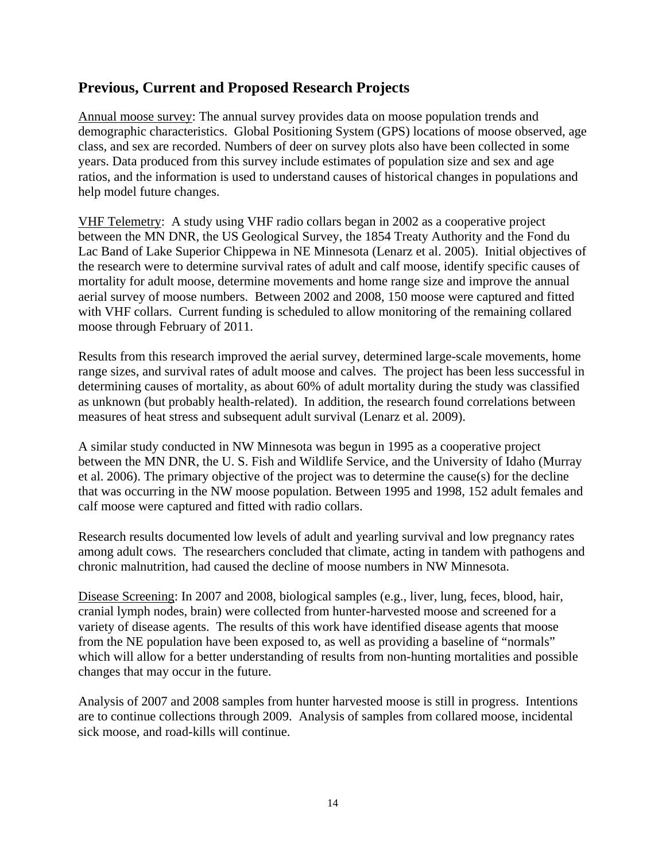### **Previous, Current and Proposed Research Projects**

Annual moose survey: The annual survey provides data on moose population trends and demographic characteristics. Global Positioning System (GPS) locations of moose observed, age class, and sex are recorded. Numbers of deer on survey plots also have been collected in some years. Data produced from this survey include estimates of population size and sex and age ratios, and the information is used to understand causes of historical changes in populations and help model future changes.

VHF Telemetry: A study using VHF radio collars began in 2002 as a cooperative project between the MN DNR, the US Geological Survey, the 1854 Treaty Authority and the Fond du Lac Band of Lake Superior Chippewa in NE Minnesota (Lenarz et al. 2005). Initial objectives of the research were to determine survival rates of adult and calf moose, identify specific causes of mortality for adult moose, determine movements and home range size and improve the annual aerial survey of moose numbers. Between 2002 and 2008, 150 moose were captured and fitted with VHF collars. Current funding is scheduled to allow monitoring of the remaining collared moose through February of 2011.

Results from this research improved the aerial survey, determined large-scale movements, home range sizes, and survival rates of adult moose and calves. The project has been less successful in determining causes of mortality, as about 60% of adult mortality during the study was classified as unknown (but probably health-related). In addition, the research found correlations between measures of heat stress and subsequent adult survival (Lenarz et al. 2009).

A similar study conducted in NW Minnesota was begun in 1995 as a cooperative project between the MN DNR, the U. S. Fish and Wildlife Service, and the University of Idaho (Murray et al. 2006). The primary objective of the project was to determine the cause(s) for the decline that was occurring in the NW moose population. Between 1995 and 1998, 152 adult females and calf moose were captured and fitted with radio collars.

Research results documented low levels of adult and yearling survival and low pregnancy rates among adult cows. The researchers concluded that climate, acting in tandem with pathogens and chronic malnutrition, had caused the decline of moose numbers in NW Minnesota.

Disease Screening: In 2007 and 2008, biological samples (e.g., liver, lung, feces, blood, hair, cranial lymph nodes, brain) were collected from hunter-harvested moose and screened for a variety of disease agents. The results of this work have identified disease agents that moose from the NE population have been exposed to, as well as providing a baseline of "normals" which will allow for a better understanding of results from non-hunting mortalities and possible changes that may occur in the future.

Analysis of 2007 and 2008 samples from hunter harvested moose is still in progress. Intentions are to continue collections through 2009. Analysis of samples from collared moose, incidental sick moose, and road-kills will continue.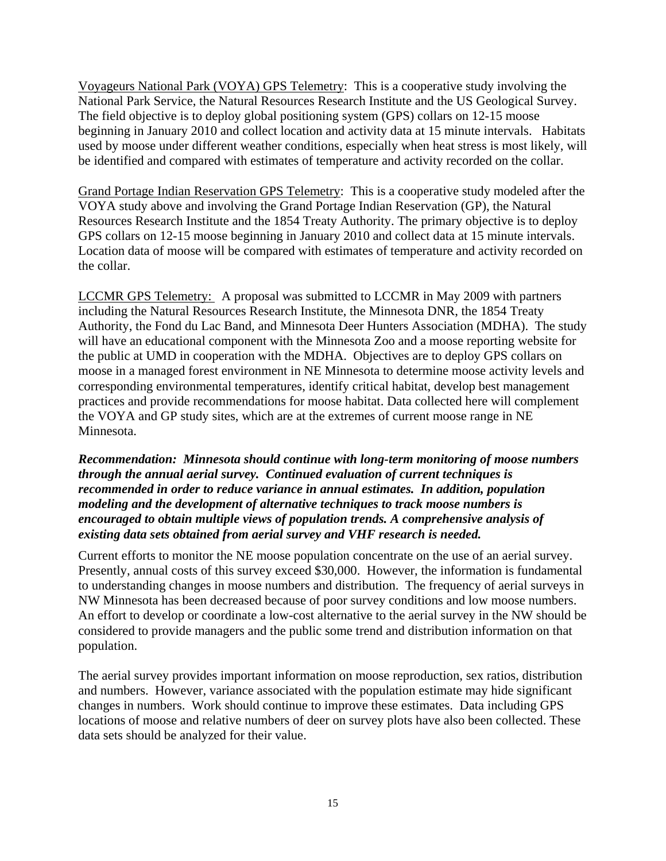Voyageurs National Park (VOYA) GPS Telemetry: This is a cooperative study involving the National Park Service, the Natural Resources Research Institute and the US Geological Survey. The field objective is to deploy global positioning system (GPS) collars on 12-15 moose beginning in January 2010 and collect location and activity data at 15 minute intervals. Habitats used by moose under different weather conditions, especially when heat stress is most likely, will be identified and compared with estimates of temperature and activity recorded on the collar.

Grand Portage Indian Reservation GPS Telemetry: This is a cooperative study modeled after the VOYA study above and involving the Grand Portage Indian Reservation (GP), the Natural Resources Research Institute and the 1854 Treaty Authority. The primary objective is to deploy GPS collars on 12-15 moose beginning in January 2010 and collect data at 15 minute intervals. Location data of moose will be compared with estimates of temperature and activity recorded on the collar.

LCCMR GPS Telemetry: A proposal was submitted to LCCMR in May 2009 with partners including the Natural Resources Research Institute, the Minnesota DNR, the 1854 Treaty Authority, the Fond du Lac Band, and Minnesota Deer Hunters Association (MDHA). The study will have an educational component with the Minnesota Zoo and a moose reporting website for the public at UMD in cooperation with the MDHA. Objectives are to deploy GPS collars on moose in a managed forest environment in NE Minnesota to determine moose activity levels and corresponding environmental temperatures, identify critical habitat, develop best management practices and provide recommendations for moose habitat. Data collected here will complement the VOYA and GP study sites, which are at the extremes of current moose range in NE Minnesota.

### *Recommendation: Minnesota should continue with long-term monitoring of moose numbers through the annual aerial survey. Continued evaluation of current techniques is recommended in order to reduce variance in annual estimates. In addition, population modeling and the development of alternative techniques to track moose numbers is encouraged to obtain multiple views of population trends. A comprehensive analysis of existing data sets obtained from aerial survey and VHF research is needed.*

Current efforts to monitor the NE moose population concentrate on the use of an aerial survey. Presently, annual costs of this survey exceed \$30,000. However, the information is fundamental to understanding changes in moose numbers and distribution. The frequency of aerial surveys in NW Minnesota has been decreased because of poor survey conditions and low moose numbers. An effort to develop or coordinate a low-cost alternative to the aerial survey in the NW should be considered to provide managers and the public some trend and distribution information on that population.

The aerial survey provides important information on moose reproduction, sex ratios, distribution and numbers. However, variance associated with the population estimate may hide significant changes in numbers. Work should continue to improve these estimates. Data including GPS locations of moose and relative numbers of deer on survey plots have also been collected. These data sets should be analyzed for their value.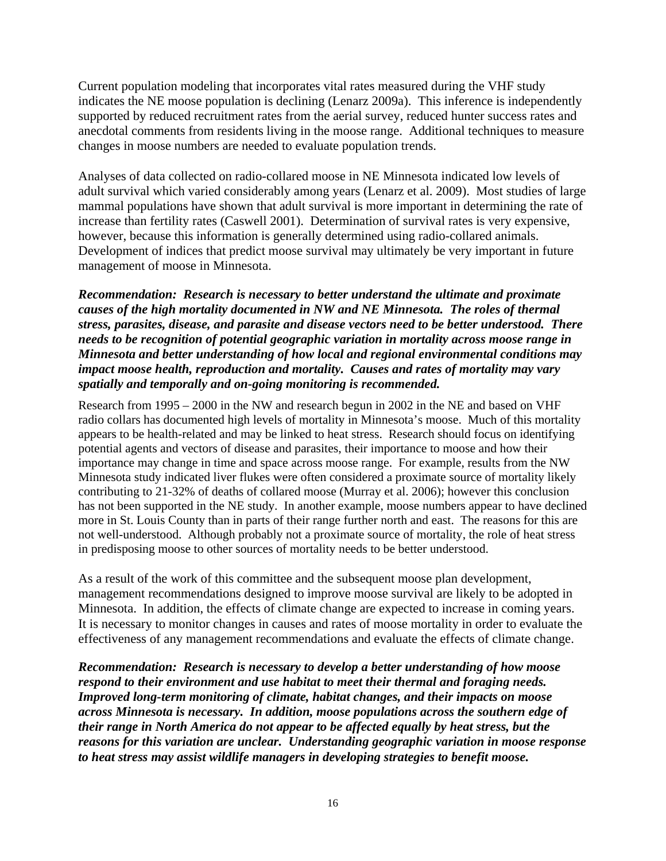Current population modeling that incorporates vital rates measured during the VHF study indicates the NE moose population is declining (Lenarz 2009a). This inference is independently supported by reduced recruitment rates from the aerial survey, reduced hunter success rates and anecdotal comments from residents living in the moose range. Additional techniques to measure changes in moose numbers are needed to evaluate population trends.

Analyses of data collected on radio-collared moose in NE Minnesota indicated low levels of adult survival which varied considerably among years (Lenarz et al. 2009). Most studies of large mammal populations have shown that adult survival is more important in determining the rate of increase than fertility rates (Caswell 2001). Determination of survival rates is very expensive, however, because this information is generally determined using radio-collared animals. Development of indices that predict moose survival may ultimately be very important in future management of moose in Minnesota.

*Recommendation: Research is necessary to better understand the ultimate and proximate causes of the high mortality documented in NW and NE Minnesota. The roles of thermal stress, parasites, disease, and parasite and disease vectors need to be better understood. There needs to be recognition of potential geographic variation in mortality across moose range in Minnesota and better understanding of how local and regional environmental conditions may impact moose health, reproduction and mortality. Causes and rates of mortality may vary spatially and temporally and on-going monitoring is recommended.* 

Research from 1995 – 2000 in the NW and research begun in 2002 in the NE and based on VHF radio collars has documented high levels of mortality in Minnesota's moose. Much of this mortality appears to be health-related and may be linked to heat stress. Research should focus on identifying potential agents and vectors of disease and parasites, their importance to moose and how their importance may change in time and space across moose range. For example, results from the NW Minnesota study indicated liver flukes were often considered a proximate source of mortality likely contributing to 21-32% of deaths of collared moose (Murray et al. 2006); however this conclusion has not been supported in the NE study. In another example, moose numbers appear to have declined more in St. Louis County than in parts of their range further north and east. The reasons for this are not well-understood. Although probably not a proximate source of mortality, the role of heat stress in predisposing moose to other sources of mortality needs to be better understood.

As a result of the work of this committee and the subsequent moose plan development, management recommendations designed to improve moose survival are likely to be adopted in Minnesota. In addition, the effects of climate change are expected to increase in coming years. It is necessary to monitor changes in causes and rates of moose mortality in order to evaluate the effectiveness of any management recommendations and evaluate the effects of climate change.

*Recommendation: Research is necessary to develop a better understanding of how moose respond to their environment and use habitat to meet their thermal and foraging needs. Improved long-term monitoring of climate, habitat changes, and their impacts on moose across Minnesota is necessary. In addition, moose populations across the southern edge of their range in North America do not appear to be affected equally by heat stress, but the reasons for this variation are unclear. Understanding geographic variation in moose response to heat stress may assist wildlife managers in developing strategies to benefit moose.*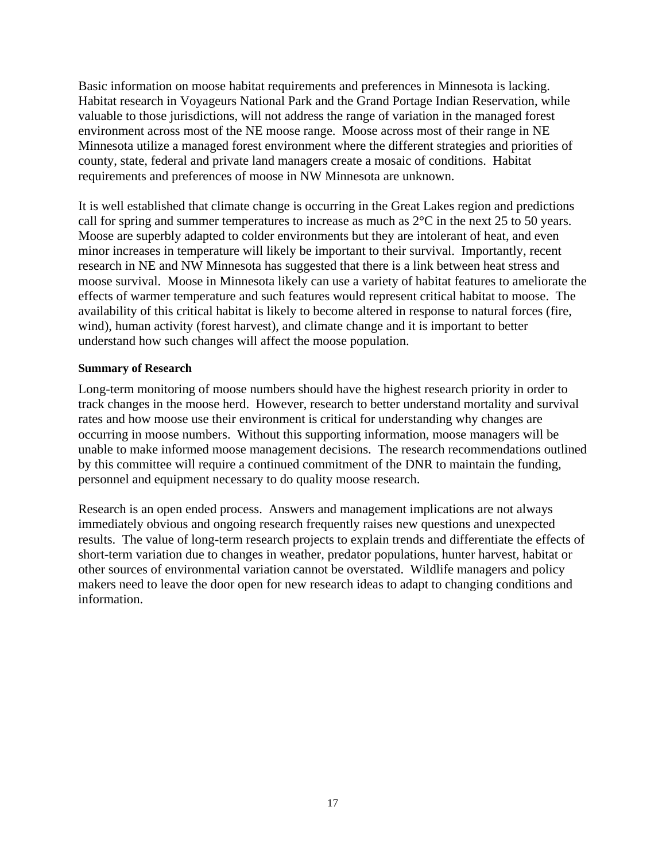Basic information on moose habitat requirements and preferences in Minnesota is lacking. Habitat research in Voyageurs National Park and the Grand Portage Indian Reservation, while valuable to those jurisdictions, will not address the range of variation in the managed forest environment across most of the NE moose range. Moose across most of their range in NE Minnesota utilize a managed forest environment where the different strategies and priorities of county, state, federal and private land managers create a mosaic of conditions. Habitat requirements and preferences of moose in NW Minnesota are unknown.

It is well established that climate change is occurring in the Great Lakes region and predictions call for spring and summer temperatures to increase as much as 2°C in the next 25 to 50 years. Moose are superbly adapted to colder environments but they are intolerant of heat, and even minor increases in temperature will likely be important to their survival. Importantly, recent research in NE and NW Minnesota has suggested that there is a link between heat stress and moose survival. Moose in Minnesota likely can use a variety of habitat features to ameliorate the effects of warmer temperature and such features would represent critical habitat to moose. The availability of this critical habitat is likely to become altered in response to natural forces (fire, wind), human activity (forest harvest), and climate change and it is important to better understand how such changes will affect the moose population.

#### **Summary of Research**

Long-term monitoring of moose numbers should have the highest research priority in order to track changes in the moose herd. However, research to better understand mortality and survival rates and how moose use their environment is critical for understanding why changes are occurring in moose numbers. Without this supporting information, moose managers will be unable to make informed moose management decisions. The research recommendations outlined by this committee will require a continued commitment of the DNR to maintain the funding, personnel and equipment necessary to do quality moose research.

Research is an open ended process. Answers and management implications are not always immediately obvious and ongoing research frequently raises new questions and unexpected results. The value of long-term research projects to explain trends and differentiate the effects of short-term variation due to changes in weather, predator populations, hunter harvest, habitat or other sources of environmental variation cannot be overstated. Wildlife managers and policy makers need to leave the door open for new research ideas to adapt to changing conditions and information.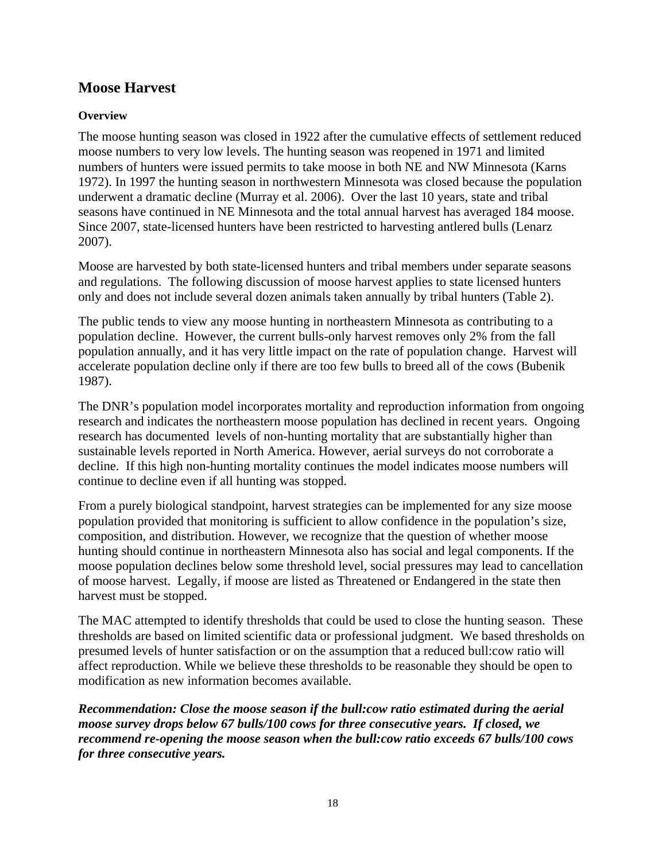### **Moose Harvest**

### **Overview**

The moose hunting season was closed in 1922 after the cumulative effects of settlement reduced moose numbers to very low levels. The hunting season was reopened in 1971 and limited numbers of hunters were issued permits to take moose in both NE and NW Minnesota (Karns 1972). In 1997 the hunting season in northwestern Minnesota was closed because the population underwent a dramatic decline (Murray et al. 2006). Over the last 10 years, state and tribal seasons have continued in NE Minnesota and the total annual harvest has averaged 184 moose. Since 2007, state-licensed hunters have been restricted to harvesting antlered bulls (Lenarz 2007).

Moose are harvested by both state-licensed hunters and tribal members under separate seasons and regulations. The following discussion of moose harvest applies to state licensed hunters only and does not include several dozen animals taken annually by tribal hunters (Table 2).

The public tends to view any moose hunting in northeastern Minnesota as contributing to a population decline. However, the current bulls-only harvest removes only 2% from the fall population annually, and it has very little impact on the rate of population change. Harvest will accelerate population decline only if there are too few bulls to breed all of the cows (Bubenik 1987).

The DNR's population model incorporates mortality and reproduction information from ongoing research and indicates the northeastern moose population has declined in recent years. Ongoing research has documented levels of non-hunting mortality that are substantially higher than sustainable levels reported in North America. However, aerial surveys do not corroborate a decline. If this high non-hunting mortality continues the model indicates moose numbers will continue to decline even if all hunting was stopped.

From a purely biological standpoint, harvest strategies can be implemented for any size moose population provided that monitoring is sufficient to allow confidence in the population's size, composition, and distribution. However, we recognize that the question of whether moose hunting should continue in northeastern Minnesota also has social and legal components. If the moose population declines below some threshold level, social pressures may lead to cancellation of moose harvest. Legally, if moose are listed as Threatened or Endangered in the state then harvest must be stopped.

The MAC attempted to identify thresholds that could be used to close the hunting season. These thresholds are based on limited scientific data or professional judgment. We based thresholds on presumed levels of hunter satisfaction or on the assumption that a reduced bull:cow ratio will affect reproduction. While we believe these thresholds to be reasonable they should be open to modification as new information becomes available.

*Recommendation: Close the moose season if the bull:cow ratio estimated during the aerial moose survey drops below 67 bulls/100 cows for three consecutive years. If closed, we recommend re-opening the moose season when the bull:cow ratio exceeds 67 bulls/100 cows for three consecutive years.*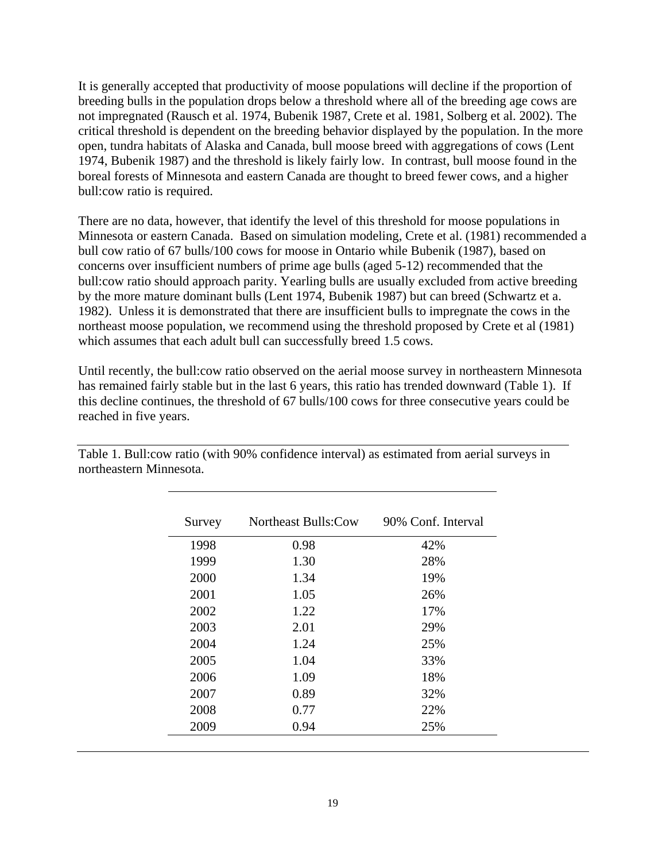It is generally accepted that productivity of moose populations will decline if the proportion of breeding bulls in the population drops below a threshold where all of the breeding age cows are not impregnated (Rausch et al. 1974, Bubenik 1987, Crete et al. 1981, Solberg et al. 2002). The critical threshold is dependent on the breeding behavior displayed by the population. In the more open, tundra habitats of Alaska and Canada, bull moose breed with aggregations of cows (Lent 1974, Bubenik 1987) and the threshold is likely fairly low. In contrast, bull moose found in the boreal forests of Minnesota and eastern Canada are thought to breed fewer cows, and a higher bull:cow ratio is required.

There are no data, however, that identify the level of this threshold for moose populations in Minnesota or eastern Canada. Based on simulation modeling, Crete et al. (1981) recommended a bull cow ratio of 67 bulls/100 cows for moose in Ontario while Bubenik (1987), based on concerns over insufficient numbers of prime age bulls (aged 5-12) recommended that the bull:cow ratio should approach parity. Yearling bulls are usually excluded from active breeding by the more mature dominant bulls (Lent 1974, Bubenik 1987) but can breed (Schwartz et a. 1982). Unless it is demonstrated that there are insufficient bulls to impregnate the cows in the northeast moose population, we recommend using the threshold proposed by Crete et al (1981) which assumes that each adult bull can successfully breed 1.5 cows.

Until recently, the bull:cow ratio observed on the aerial moose survey in northeastern Minnesota has remained fairly stable but in the last 6 years, this ratio has trended downward (Table 1). If this decline continues, the threshold of 67 bulls/100 cows for three consecutive years could be reached in five years.

| Survey | <b>Northeast Bulls:Cow</b> | 90% Conf. Interval |
|--------|----------------------------|--------------------|
| 1998   | 0.98                       | 42%                |
| 1999   | 1.30                       | 28%                |
| 2000   | 1.34                       | 19%                |
| 2001   | 1.05                       | 26%                |
| 2002   | 1.22                       | 17%                |
| 2003   | 2.01                       | 29%                |
| 2004   | 1.24                       | 25%                |
| 2005   | 1.04                       | 33%                |
| 2006   | 1.09                       | 18%                |
| 2007   | 0.89                       | 32%                |
| 2008   | 0.77                       | 22%                |
| 2009   | 0.94                       | 25%                |

Table 1. Bull:cow ratio (with 90% confidence interval) as estimated from aerial surveys in northeastern Minnesota.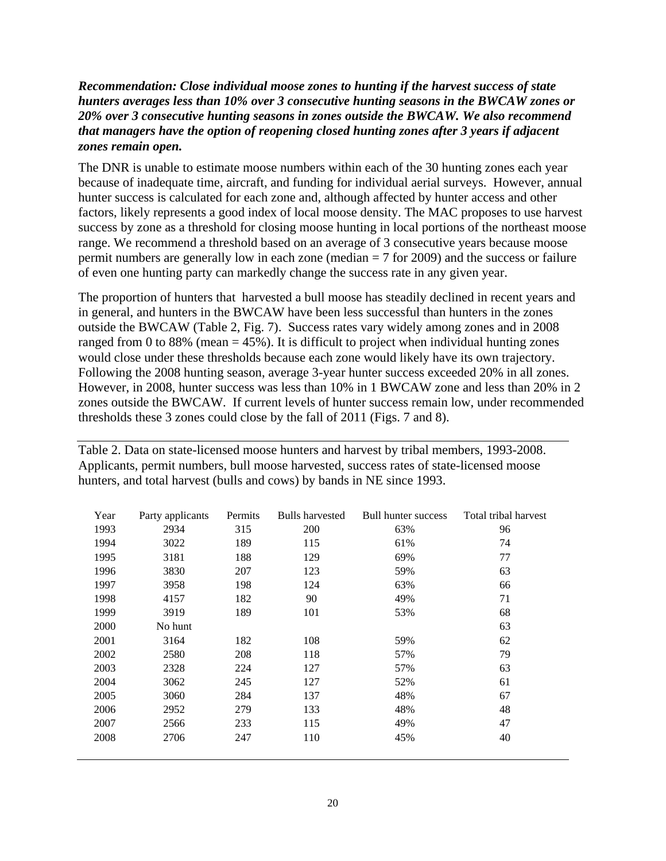### *Recommendation: Close individual moose zones to hunting if the harvest success of state hunters averages less than 10% over 3 consecutive hunting seasons in the BWCAW zones or 20% over 3 consecutive hunting seasons in zones outside the BWCAW. We also recommend that managers have the option of reopening closed hunting zones after 3 years if adjacent zones remain open.*

The DNR is unable to estimate moose numbers within each of the 30 hunting zones each year because of inadequate time, aircraft, and funding for individual aerial surveys. However, annual hunter success is calculated for each zone and, although affected by hunter access and other factors, likely represents a good index of local moose density. The MAC proposes to use harvest success by zone as a threshold for closing moose hunting in local portions of the northeast moose range. We recommend a threshold based on an average of 3 consecutive years because moose permit numbers are generally low in each zone (median = 7 for 2009) and the success or failure of even one hunting party can markedly change the success rate in any given year.

The proportion of hunters that harvested a bull moose has steadily declined in recent years and in general, and hunters in the BWCAW have been less successful than hunters in the zones outside the BWCAW (Table 2, Fig. 7). Success rates vary widely among zones and in 2008 ranged from 0 to 88% (mean  $=$  45%). It is difficult to project when individual hunting zones would close under these thresholds because each zone would likely have its own trajectory. Following the 2008 hunting season, average 3-year hunter success exceeded 20% in all zones. However, in 2008, hunter success was less than 10% in 1 BWCAW zone and less than 20% in 2 zones outside the BWCAW. If current levels of hunter success remain low, under recommended thresholds these 3 zones could close by the fall of 2011 (Figs. 7 and 8).

| Year | Party applicants | Permits | <b>Bulls harvested</b> | <b>Bull hunter success</b> | Total tribal harvest |
|------|------------------|---------|------------------------|----------------------------|----------------------|
| 1993 | 2934             | 315     | 200                    | 63%                        | 96                   |
| 1994 | 3022             | 189     | 115                    | 61%                        | 74                   |
| 1995 | 3181             | 188     | 129                    | 69%                        | 77                   |
| 1996 | 3830             | 207     | 123                    | 59%                        | 63                   |
| 1997 | 3958             | 198     | 124                    | 63%                        | 66                   |
| 1998 | 4157             | 182     | 90                     | 49%                        | 71                   |
| 1999 | 3919             | 189     | 101                    | 53%                        | 68                   |
| 2000 | No hunt          |         |                        |                            | 63                   |
| 2001 | 3164             | 182     | 108                    | 59%                        | 62                   |
| 2002 | 2580             | 208     | 118                    | 57%                        | 79                   |
| 2003 | 2328             | 224     | 127                    | 57%                        | 63                   |
| 2004 | 3062             | 245     | 127                    | 52%                        | 61                   |
| 2005 | 3060             | 284     | 137                    | 48%                        | 67                   |
| 2006 | 2952             | 279     | 133                    | 48%                        | 48                   |
| 2007 | 2566             | 233     | 115                    | 49%                        | 47                   |
| 2008 | 2706             | 247     | 110                    | 45%                        | 40                   |

Table 2. Data on state-licensed moose hunters and harvest by tribal members, 1993-2008. Applicants, permit numbers, bull moose harvested, success rates of state-licensed moose hunters, and total harvest (bulls and cows) by bands in NE since 1993.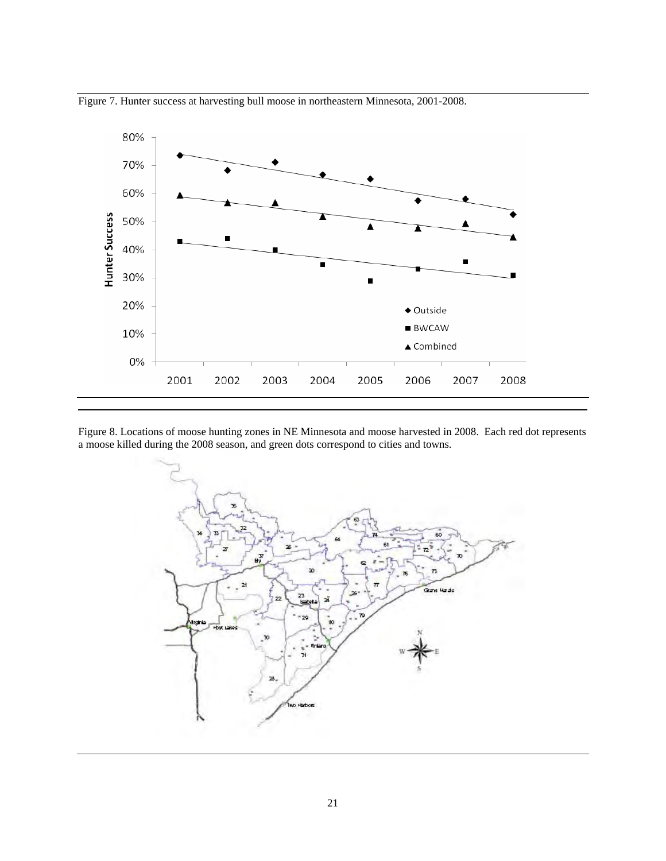

Figure 7. Hunter success at harvesting bull moose in northeastern Minnesota, 2001-2008.

Figure 8. Locations of moose hunting zones in NE Minnesota and moose harvested in 2008. Each red dot represents a moose killed during the 2008 season, and green dots correspond to cities and towns.

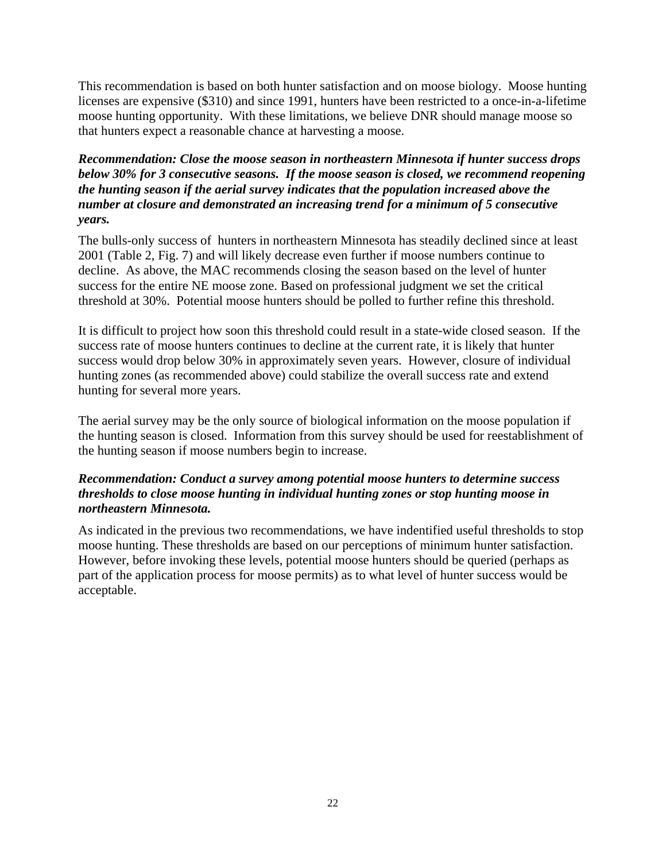This recommendation is based on both hunter satisfaction and on moose biology. Moose hunting licenses are expensive (\$310) and since 1991, hunters have been restricted to a once-in-a-lifetime moose hunting opportunity. With these limitations, we believe DNR should manage moose so that hunters expect a reasonable chance at harvesting a moose.

### *Recommendation: Close the moose season in northeastern Minnesota if hunter success drops below 30% for 3 consecutive seasons. If the moose season is closed, we recommend reopening the hunting season if the aerial survey indicates that the population increased above the number at closure and demonstrated an increasing trend for a minimum of 5 consecutive years.*

The bulls-only success of hunters in northeastern Minnesota has steadily declined since at least 2001 (Table 2, Fig. 7) and will likely decrease even further if moose numbers continue to decline. As above, the MAC recommends closing the season based on the level of hunter success for the entire NE moose zone. Based on professional judgment we set the critical threshold at 30%. Potential moose hunters should be polled to further refine this threshold.

It is difficult to project how soon this threshold could result in a state-wide closed season. If the success rate of moose hunters continues to decline at the current rate, it is likely that hunter success would drop below 30% in approximately seven years. However, closure of individual hunting zones (as recommended above) could stabilize the overall success rate and extend hunting for several more years.

The aerial survey may be the only source of biological information on the moose population if the hunting season is closed. Information from this survey should be used for reestablishment of the hunting season if moose numbers begin to increase.

### *Recommendation: Conduct a survey among potential moose hunters to determine success thresholds to close moose hunting in individual hunting zones or stop hunting moose in northeastern Minnesota.*

As indicated in the previous two recommendations, we have indentified useful thresholds to stop moose hunting. These thresholds are based on our perceptions of minimum hunter satisfaction. However, before invoking these levels, potential moose hunters should be queried (perhaps as part of the application process for moose permits) as to what level of hunter success would be acceptable.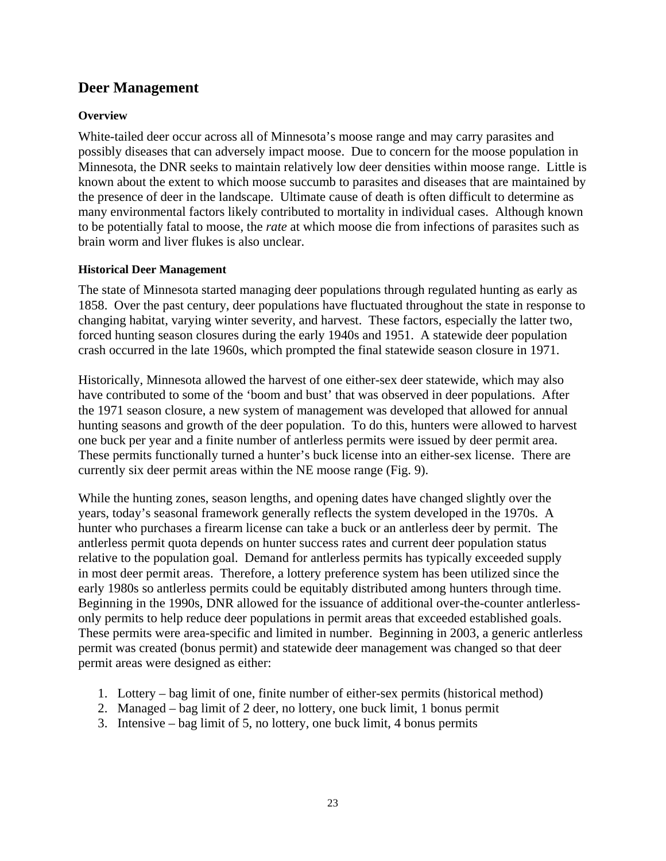### **Deer Management**

### **Overview**

White-tailed deer occur across all of Minnesota's moose range and may carry parasites and possibly diseases that can adversely impact moose. Due to concern for the moose population in Minnesota, the DNR seeks to maintain relatively low deer densities within moose range. Little is known about the extent to which moose succumb to parasites and diseases that are maintained by the presence of deer in the landscape. Ultimate cause of death is often difficult to determine as many environmental factors likely contributed to mortality in individual cases. Although known to be potentially fatal to moose, the *rate* at which moose die from infections of parasites such as brain worm and liver flukes is also unclear.

### **Historical Deer Management**

The state of Minnesota started managing deer populations through regulated hunting as early as 1858. Over the past century, deer populations have fluctuated throughout the state in response to changing habitat, varying winter severity, and harvest. These factors, especially the latter two, forced hunting season closures during the early 1940s and 1951. A statewide deer population crash occurred in the late 1960s, which prompted the final statewide season closure in 1971.

Historically, Minnesota allowed the harvest of one either-sex deer statewide, which may also have contributed to some of the 'boom and bust' that was observed in deer populations. After the 1971 season closure, a new system of management was developed that allowed for annual hunting seasons and growth of the deer population. To do this, hunters were allowed to harvest one buck per year and a finite number of antlerless permits were issued by deer permit area. These permits functionally turned a hunter's buck license into an either-sex license. There are currently six deer permit areas within the NE moose range (Fig. 9).

While the hunting zones, season lengths, and opening dates have changed slightly over the years, today's seasonal framework generally reflects the system developed in the 1970s. A hunter who purchases a firearm license can take a buck or an antlerless deer by permit. The antlerless permit quota depends on hunter success rates and current deer population status relative to the population goal. Demand for antlerless permits has typically exceeded supply in most deer permit areas. Therefore, a lottery preference system has been utilized since the early 1980s so antlerless permits could be equitably distributed among hunters through time. Beginning in the 1990s, DNR allowed for the issuance of additional over-the-counter antlerlessonly permits to help reduce deer populations in permit areas that exceeded established goals. These permits were area-specific and limited in number. Beginning in 2003, a generic antlerless permit was created (bonus permit) and statewide deer management was changed so that deer permit areas were designed as either:

- 1. Lottery bag limit of one, finite number of either-sex permits (historical method)
- 2. Managed bag limit of 2 deer, no lottery, one buck limit, 1 bonus permit
- 3. Intensive bag limit of 5, no lottery, one buck limit, 4 bonus permits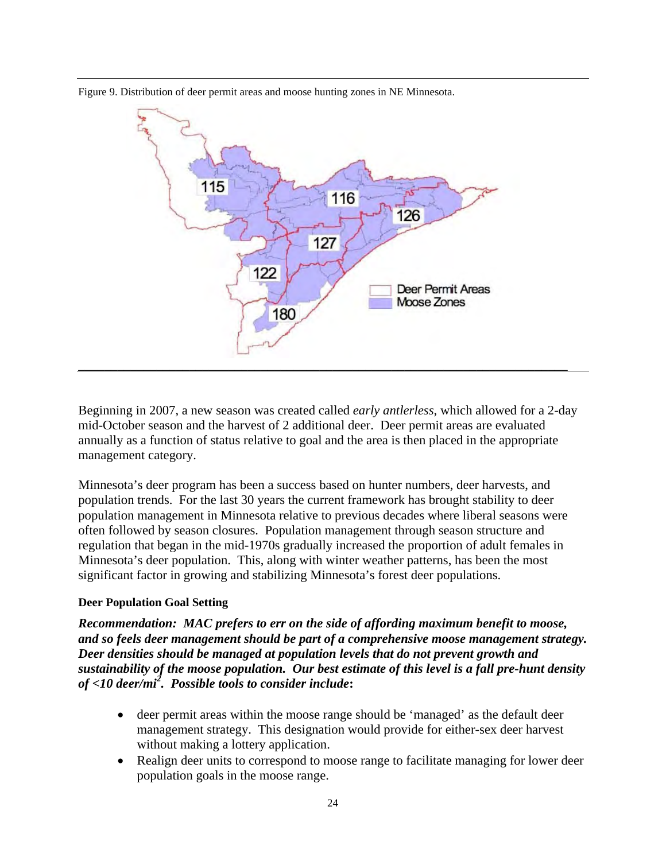



Beginning in 2007, a new season was created called *early antlerless*, which allowed for a 2-day mid-October season and the harvest of 2 additional deer. Deer permit areas are evaluated annually as a function of status relative to goal and the area is then placed in the appropriate management category.

Minnesota's deer program has been a success based on hunter numbers, deer harvests, and population trends. For the last 30 years the current framework has brought stability to deer population management in Minnesota relative to previous decades where liberal seasons were often followed by season closures. Population management through season structure and regulation that began in the mid-1970s gradually increased the proportion of adult females in Minnesota's deer population. This, along with winter weather patterns, has been the most significant factor in growing and stabilizing Minnesota's forest deer populations.

### **Deer Population Goal Setting**

*Recommendation: MAC prefers to err on the side of affording maximum benefit to moose, and so feels deer management should be part of a comprehensive moose management strategy. Deer densities should be managed at population levels that do not prevent growth and sustainability of the moose population. Our best estimate of this level is a fall pre-hunt density of <10 deer/mi<sup>2</sup> . Possible tools to consider include***:** 

- deer permit areas within the moose range should be 'managed' as the default deer management strategy. This designation would provide for either-sex deer harvest without making a lottery application.
- Realign deer units to correspond to moose range to facilitate managing for lower deer population goals in the moose range.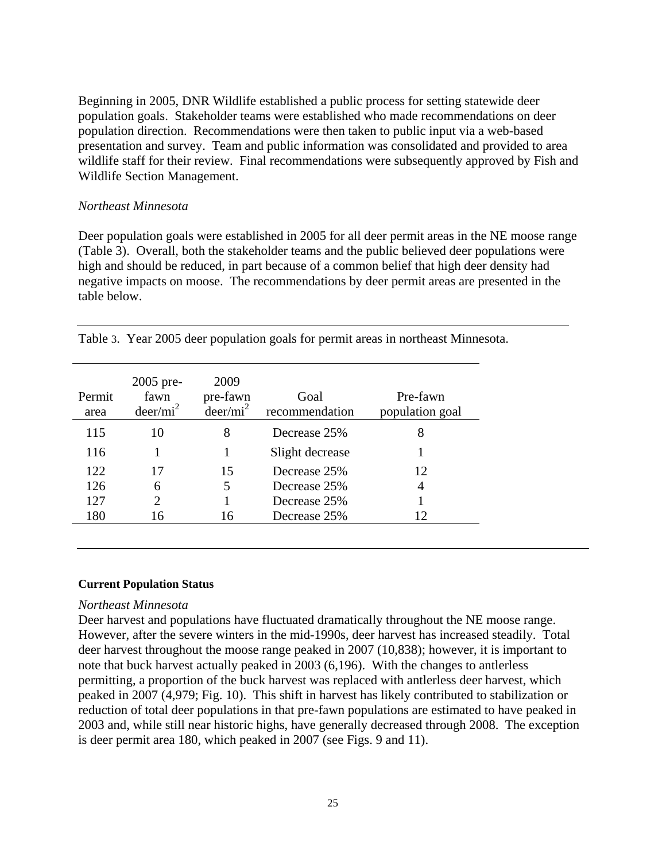Beginning in 2005, DNR Wildlife established a public process for setting statewide deer population goals. Stakeholder teams were established who made recommendations on deer population direction. Recommendations were then taken to public input via a web-based presentation and survey. Team and public information was consolidated and provided to area wildlife staff for their review. Final recommendations were subsequently approved by Fish and Wildlife Section Management.

#### *Northeast Minnesota*

Deer population goals were established in 2005 for all deer permit areas in the NE moose range (Table 3). Overall, both the stakeholder teams and the public believed deer populations were high and should be reduced, in part because of a common belief that high deer density had negative impacts on moose. The recommendations by deer permit areas are presented in the table below.

| Permit<br>area | 2005 pre-<br>fawn<br>$deer/mi^2$ | 2009<br>pre-fawn<br>$deer/mi^2$ | Goal<br>recommendation | Pre-fawn<br>population goal |
|----------------|----------------------------------|---------------------------------|------------------------|-----------------------------|
| 115            | 10                               | 8                               | Decrease 25%           | 8                           |
| 116            |                                  |                                 | Slight decrease        |                             |
| 122            | 17                               | 15                              | Decrease 25%           | 12                          |
| 126            | 6                                | 5                               | Decrease 25%           | 4                           |
| 127            | $\mathcal{D}_{\mathcal{L}}$      |                                 | Decrease 25%           |                             |
| 180            | 16                               | 16                              | Decrease 25%           | 12                          |

Table 3. Year 2005 deer population goals for permit areas in northeast Minnesota.

#### **Current Population Status**

#### *Northeast Minnesota*

Deer harvest and populations have fluctuated dramatically throughout the NE moose range. However, after the severe winters in the mid-1990s, deer harvest has increased steadily. Total deer harvest throughout the moose range peaked in 2007 (10,838); however, it is important to note that buck harvest actually peaked in 2003 (6,196). With the changes to antlerless permitting, a proportion of the buck harvest was replaced with antlerless deer harvest, which peaked in 2007 (4,979; Fig. 10). This shift in harvest has likely contributed to stabilization or reduction of total deer populations in that pre-fawn populations are estimated to have peaked in 2003 and, while still near historic highs, have generally decreased through 2008. The exception is deer permit area 180, which peaked in 2007 (see Figs. 9 and 11).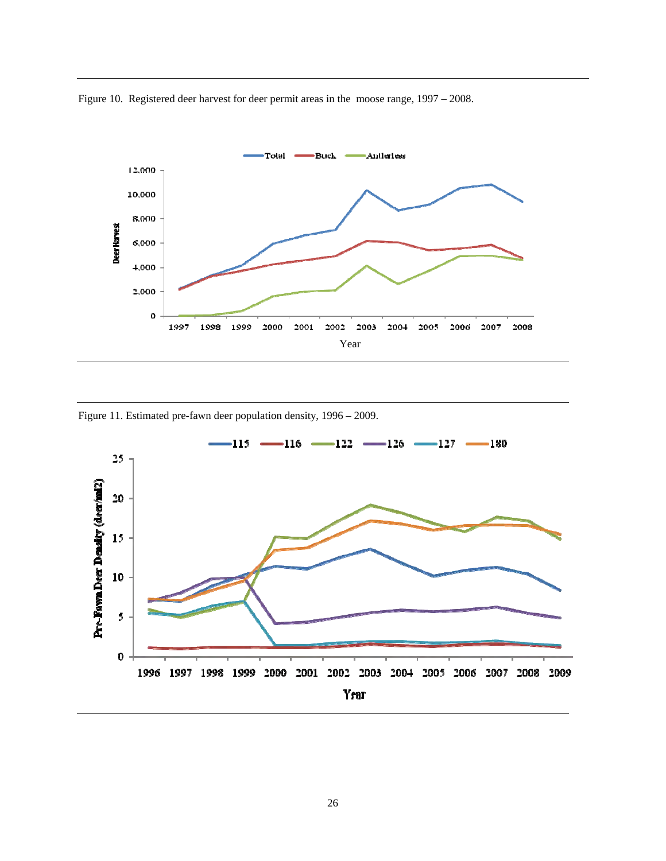Figure 10. Registered deer harvest for deer permit areas in the moose range, 1997 – 2008.



Figure 11. Estimated pre-fawn deer population density, 1996 – 2009.

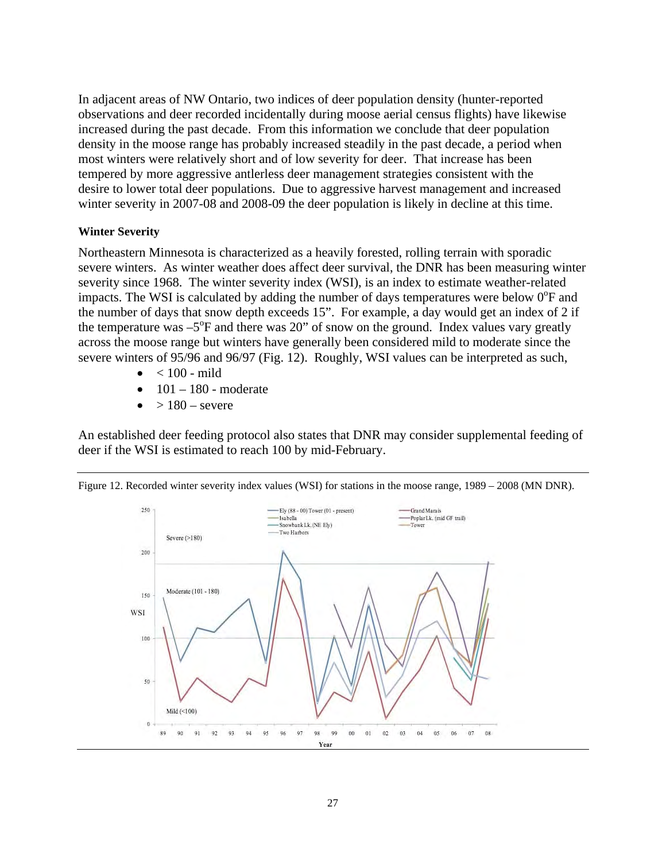In adjacent areas of NW Ontario, two indices of deer population density (hunter-reported observations and deer recorded incidentally during moose aerial census flights) have likewise increased during the past decade. From this information we conclude that deer population density in the moose range has probably increased steadily in the past decade, a period when most winters were relatively short and of low severity for deer. That increase has been tempered by more aggressive antlerless deer management strategies consistent with the desire to lower total deer populations. Due to aggressive harvest management and increased winter severity in 2007-08 and 2008-09 the deer population is likely in decline at this time.

#### **Winter Severity**

Northeastern Minnesota is characterized as a heavily forested, rolling terrain with sporadic severe winters. As winter weather does affect deer survival, the DNR has been measuring winter severity since 1968. The winter severity index (WSI), is an index to estimate weather-related impacts. The WSI is calculated by adding the number of days temperatures were below  $0^{\circ}$ F and the number of days that snow depth exceeds 15". For example, a day would get an index of 2 if the temperature was  $-5^{\circ}$ F and there was 20" of snow on the ground. Index values vary greatly across the moose range but winters have generally been considered mild to moderate since the severe winters of 95/96 and 96/97 (Fig. 12). Roughly, WSI values can be interpreted as such,

- $\bullet$  < 100 mild
- $101 180$  moderate
- $\bullet$  > 180 severe

An established deer feeding protocol also states that DNR may consider supplemental feeding of deer if the WSI is estimated to reach 100 by mid-February.



Figure 12. Recorded winter severity index values (WSI) for stations in the moose range, 1989 – 2008 (MN DNR).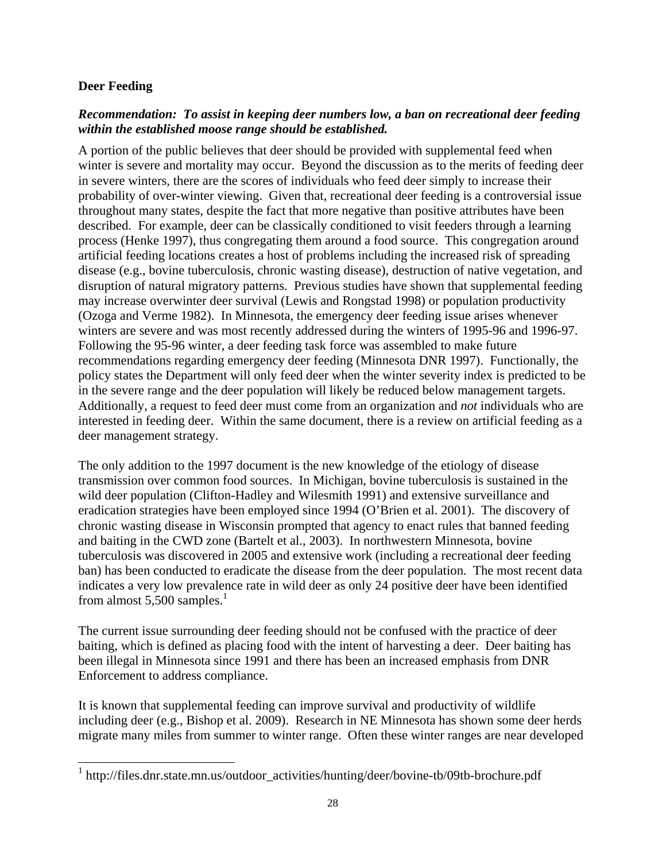### **Deer Feeding**

 $\overline{a}$ 

### *Recommendation: To assist in keeping deer numbers low, a ban on recreational deer feeding within the established moose range should be established.*

A portion of the public believes that deer should be provided with supplemental feed when winter is severe and mortality may occur. Beyond the discussion as to the merits of feeding deer in severe winters, there are the scores of individuals who feed deer simply to increase their probability of over-winter viewing. Given that, recreational deer feeding is a controversial issue throughout many states, despite the fact that more negative than positive attributes have been described. For example, deer can be classically conditioned to visit feeders through a learning process (Henke 1997), thus congregating them around a food source. This congregation around artificial feeding locations creates a host of problems including the increased risk of spreading disease (e.g., bovine tuberculosis, chronic wasting disease), destruction of native vegetation, and disruption of natural migratory patterns. Previous studies have shown that supplemental feeding may increase overwinter deer survival (Lewis and Rongstad 1998) or population productivity (Ozoga and Verme 1982). In Minnesota, the emergency deer feeding issue arises whenever winters are severe and was most recently addressed during the winters of 1995-96 and 1996-97. Following the 95-96 winter, a deer feeding task force was assembled to make future recommendations regarding emergency deer feeding (Minnesota DNR 1997). Functionally, the policy states the Department will only feed deer when the winter severity index is predicted to be in the severe range and the deer population will likely be reduced below management targets. Additionally, a request to feed deer must come from an organization and *not* individuals who are interested in feeding deer. Within the same document, there is a review on artificial feeding as a deer management strategy.

The only addition to the 1997 document is the new knowledge of the etiology of disease transmission over common food sources. In Michigan, bovine tuberculosis is sustained in the wild deer population (Clifton-Hadley and Wilesmith 1991) and extensive surveillance and eradication strategies have been employed since 1994 (O'Brien et al. 2001). The discovery of chronic wasting disease in Wisconsin prompted that agency to enact rules that banned feeding and baiting in the CWD zone (Bartelt et al., 2003). In northwestern Minnesota, bovine tuberculosis was discovered in 2005 and extensive work (including a recreational deer feeding ban) has been conducted to eradicate the disease from the deer population. The most recent data indicates a very low prevalence rate in wild deer as only 24 positive deer have been identified from almost  $5,500$  samples.<sup>1</sup>

The current issue surrounding deer feeding should not be confused with the practice of deer baiting, which is defined as placing food with the intent of harvesting a deer. Deer baiting has been illegal in Minnesota since 1991 and there has been an increased emphasis from DNR Enforcement to address compliance.

It is known that supplemental feeding can improve survival and productivity of wildlife including deer (e.g., Bishop et al. 2009). Research in NE Minnesota has shown some deer herds migrate many miles from summer to winter range. Often these winter ranges are near developed

<sup>&</sup>lt;sup>1</sup> http://files.dnr.state.mn.us/outdoor\_activities/hunting/deer/bovine-tb/09tb-brochure.pdf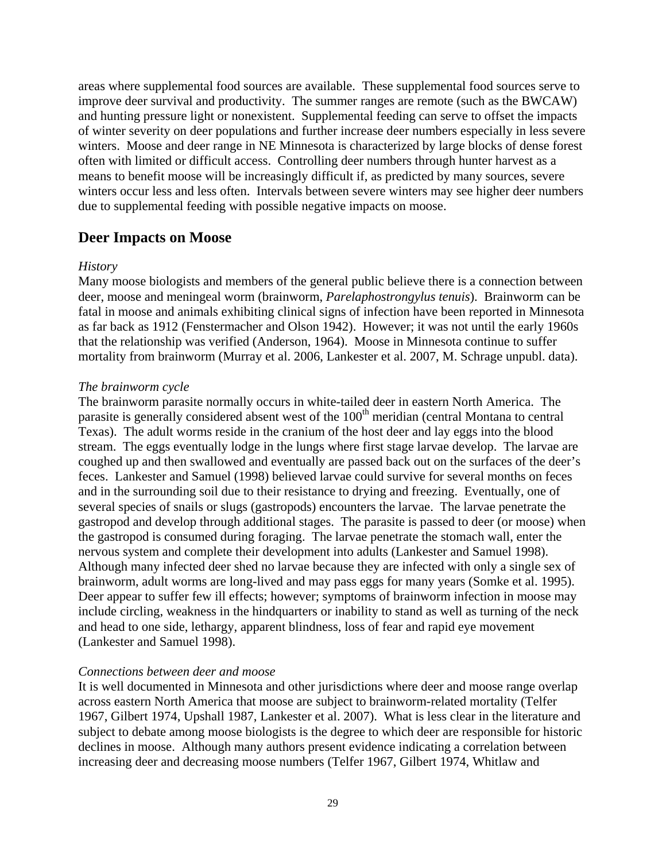areas where supplemental food sources are available. These supplemental food sources serve to improve deer survival and productivity. The summer ranges are remote (such as the BWCAW) and hunting pressure light or nonexistent. Supplemental feeding can serve to offset the impacts of winter severity on deer populations and further increase deer numbers especially in less severe winters. Moose and deer range in NE Minnesota is characterized by large blocks of dense forest often with limited or difficult access. Controlling deer numbers through hunter harvest as a means to benefit moose will be increasingly difficult if, as predicted by many sources, severe winters occur less and less often. Intervals between severe winters may see higher deer numbers due to supplemental feeding with possible negative impacts on moose.

### **Deer Impacts on Moose**

#### *History*

Many moose biologists and members of the general public believe there is a connection between deer, moose and meningeal worm (brainworm, *Parelaphostrongylus tenuis*). Brainworm can be fatal in moose and animals exhibiting clinical signs of infection have been reported in Minnesota as far back as 1912 (Fenstermacher and Olson 1942). However; it was not until the early 1960s that the relationship was verified (Anderson, 1964). Moose in Minnesota continue to suffer mortality from brainworm (Murray et al. 2006, Lankester et al. 2007, M. Schrage unpubl. data).

#### *The brainworm cycle*

The brainworm parasite normally occurs in white-tailed deer in eastern North America. The parasite is generally considered absent west of the 100<sup>th</sup> meridian (central Montana to central Texas). The adult worms reside in the cranium of the host deer and lay eggs into the blood stream. The eggs eventually lodge in the lungs where first stage larvae develop. The larvae are coughed up and then swallowed and eventually are passed back out on the surfaces of the deer's feces. Lankester and Samuel (1998) believed larvae could survive for several months on feces and in the surrounding soil due to their resistance to drying and freezing. Eventually, one of several species of snails or slugs (gastropods) encounters the larvae. The larvae penetrate the gastropod and develop through additional stages. The parasite is passed to deer (or moose) when the gastropod is consumed during foraging. The larvae penetrate the stomach wall, enter the nervous system and complete their development into adults (Lankester and Samuel 1998). Although many infected deer shed no larvae because they are infected with only a single sex of brainworm, adult worms are long-lived and may pass eggs for many years (Somke et al. 1995). Deer appear to suffer few ill effects; however; symptoms of brainworm infection in moose may include circling, weakness in the hindquarters or inability to stand as well as turning of the neck and head to one side, lethargy, apparent blindness, loss of fear and rapid eye movement (Lankester and Samuel 1998).

#### *Connections between deer and moose*

It is well documented in Minnesota and other jurisdictions where deer and moose range overlap across eastern North America that moose are subject to brainworm-related mortality (Telfer 1967, Gilbert 1974, Upshall 1987, Lankester et al. 2007). What is less clear in the literature and subject to debate among moose biologists is the degree to which deer are responsible for historic declines in moose. Although many authors present evidence indicating a correlation between increasing deer and decreasing moose numbers (Telfer 1967, Gilbert 1974, Whitlaw and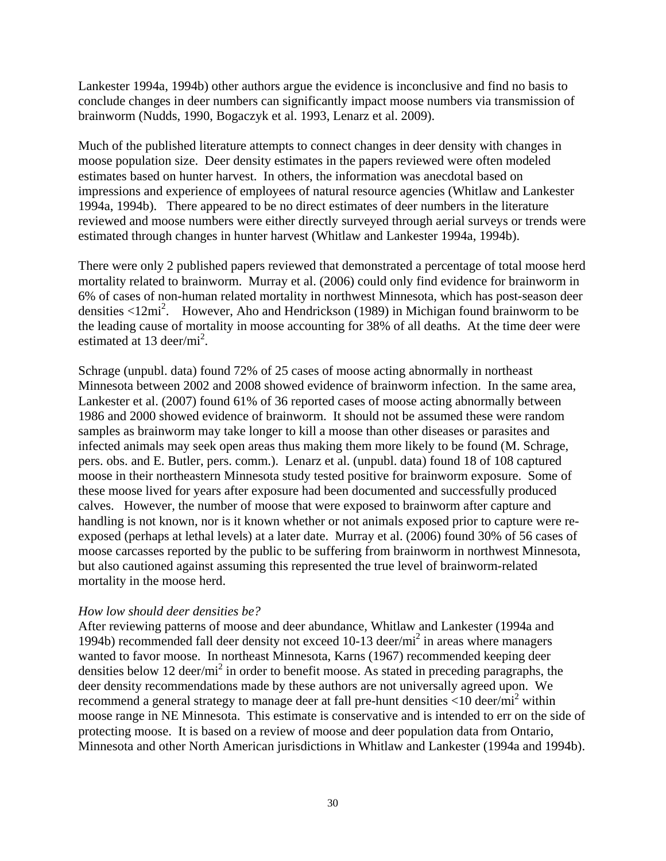Lankester 1994a, 1994b) other authors argue the evidence is inconclusive and find no basis to conclude changes in deer numbers can significantly impact moose numbers via transmission of brainworm (Nudds, 1990, Bogaczyk et al. 1993, Lenarz et al. 2009).

Much of the published literature attempts to connect changes in deer density with changes in moose population size. Deer density estimates in the papers reviewed were often modeled estimates based on hunter harvest. In others, the information was anecdotal based on impressions and experience of employees of natural resource agencies (Whitlaw and Lankester 1994a, 1994b). There appeared to be no direct estimates of deer numbers in the literature reviewed and moose numbers were either directly surveyed through aerial surveys or trends were estimated through changes in hunter harvest (Whitlaw and Lankester 1994a, 1994b).

There were only 2 published papers reviewed that demonstrated a percentage of total moose herd mortality related to brainworm. Murray et al. (2006) could only find evidence for brainworm in 6% of cases of non-human related mortality in northwest Minnesota, which has post-season deer densities <12mi2 . However, Aho and Hendrickson (1989) in Michigan found brainworm to be the leading cause of mortality in moose accounting for 38% of all deaths. At the time deer were estimated at 13 deer/ $mi^2$ .

Schrage (unpubl. data) found 72% of 25 cases of moose acting abnormally in northeast Minnesota between 2002 and 2008 showed evidence of brainworm infection. In the same area, Lankester et al. (2007) found 61% of 36 reported cases of moose acting abnormally between 1986 and 2000 showed evidence of brainworm. It should not be assumed these were random samples as brainworm may take longer to kill a moose than other diseases or parasites and infected animals may seek open areas thus making them more likely to be found (M. Schrage, pers. obs. and E. Butler, pers. comm.). Lenarz et al. (unpubl. data) found 18 of 108 captured moose in their northeastern Minnesota study tested positive for brainworm exposure. Some of these moose lived for years after exposure had been documented and successfully produced calves. However, the number of moose that were exposed to brainworm after capture and handling is not known, nor is it known whether or not animals exposed prior to capture were reexposed (perhaps at lethal levels) at a later date. Murray et al. (2006) found 30% of 56 cases of moose carcasses reported by the public to be suffering from brainworm in northwest Minnesota, but also cautioned against assuming this represented the true level of brainworm-related mortality in the moose herd.

#### *How low should deer densities be?*

After reviewing patterns of moose and deer abundance, Whitlaw and Lankester (1994a and 1994b) recommended fall deer density not exceed 10-13 deer/mi<sup>2</sup> in areas where managers wanted to favor moose. In northeast Minnesota, Karns (1967) recommended keeping deer densities below 12 deer/ $mi^2$  in order to benefit moose. As stated in preceding paragraphs, the deer density recommendations made by these authors are not universally agreed upon. We recommend a general strategy to manage deer at fall pre-hunt densities  $\langle 10 \text{ deer/mi}^2 \text{ within}$ moose range in NE Minnesota. This estimate is conservative and is intended to err on the side of protecting moose. It is based on a review of moose and deer population data from Ontario, Minnesota and other North American jurisdictions in Whitlaw and Lankester (1994a and 1994b).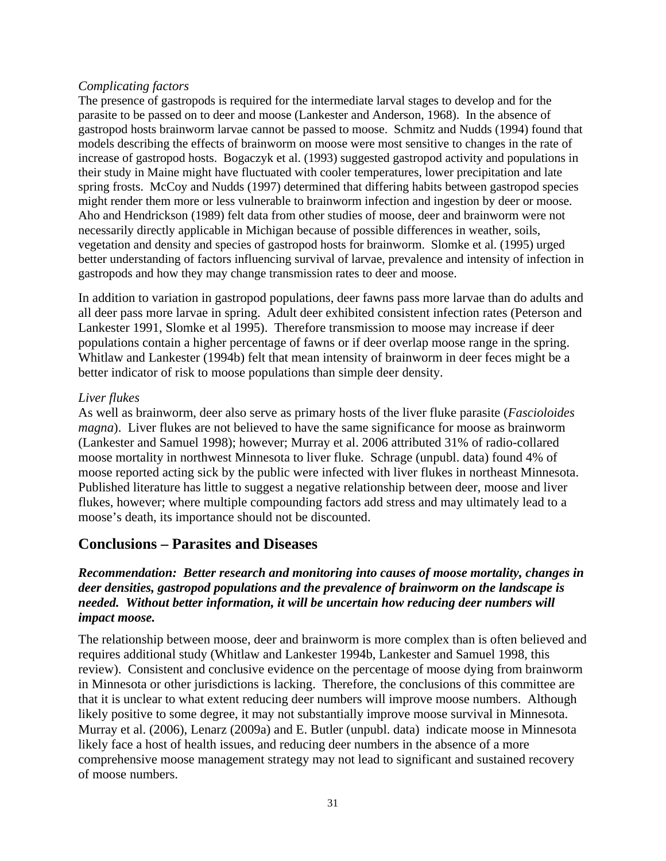#### *Complicating factors*

The presence of gastropods is required for the intermediate larval stages to develop and for the parasite to be passed on to deer and moose (Lankester and Anderson, 1968). In the absence of gastropod hosts brainworm larvae cannot be passed to moose. Schmitz and Nudds (1994) found that models describing the effects of brainworm on moose were most sensitive to changes in the rate of increase of gastropod hosts. Bogaczyk et al. (1993) suggested gastropod activity and populations in their study in Maine might have fluctuated with cooler temperatures, lower precipitation and late spring frosts. McCoy and Nudds (1997) determined that differing habits between gastropod species might render them more or less vulnerable to brainworm infection and ingestion by deer or moose. Aho and Hendrickson (1989) felt data from other studies of moose, deer and brainworm were not necessarily directly applicable in Michigan because of possible differences in weather, soils, vegetation and density and species of gastropod hosts for brainworm. Slomke et al. (1995) urged better understanding of factors influencing survival of larvae, prevalence and intensity of infection in gastropods and how they may change transmission rates to deer and moose.

In addition to variation in gastropod populations, deer fawns pass more larvae than do adults and all deer pass more larvae in spring. Adult deer exhibited consistent infection rates (Peterson and Lankester 1991, Slomke et al 1995). Therefore transmission to moose may increase if deer populations contain a higher percentage of fawns or if deer overlap moose range in the spring. Whitlaw and Lankester (1994b) felt that mean intensity of brainworm in deer feces might be a better indicator of risk to moose populations than simple deer density.

### *Liver flukes*

As well as brainworm, deer also serve as primary hosts of the liver fluke parasite (*Fascioloides magna*). Liver flukes are not believed to have the same significance for moose as brainworm (Lankester and Samuel 1998); however; Murray et al. 2006 attributed 31% of radio-collared moose mortality in northwest Minnesota to liver fluke. Schrage (unpubl. data) found 4% of moose reported acting sick by the public were infected with liver flukes in northeast Minnesota. Published literature has little to suggest a negative relationship between deer, moose and liver flukes, however; where multiple compounding factors add stress and may ultimately lead to a moose's death, its importance should not be discounted.

### **Conclusions – Parasites and Diseases**

### *Recommendation: Better research and monitoring into causes of moose mortality, changes in deer densities, gastropod populations and the prevalence of brainworm on the landscape is needed. Without better information, it will be uncertain how reducing deer numbers will impact moose.*

The relationship between moose, deer and brainworm is more complex than is often believed and requires additional study (Whitlaw and Lankester 1994b, Lankester and Samuel 1998, this review). Consistent and conclusive evidence on the percentage of moose dying from brainworm in Minnesota or other jurisdictions is lacking. Therefore, the conclusions of this committee are that it is unclear to what extent reducing deer numbers will improve moose numbers. Although likely positive to some degree, it may not substantially improve moose survival in Minnesota. Murray et al. (2006), Lenarz (2009a) and E. Butler (unpubl. data) indicate moose in Minnesota likely face a host of health issues, and reducing deer numbers in the absence of a more comprehensive moose management strategy may not lead to significant and sustained recovery of moose numbers.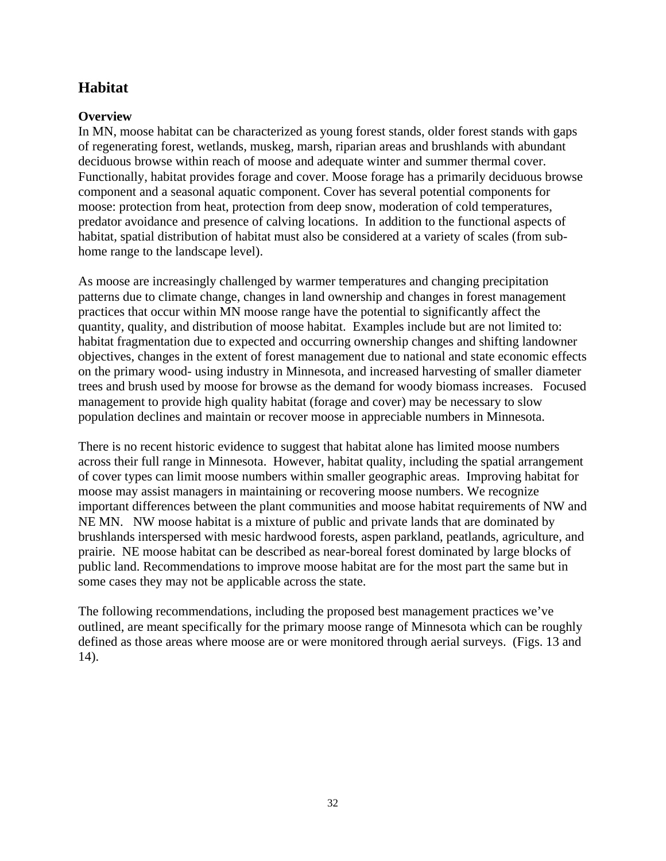## **Habitat**

### **Overview**

In MN, moose habitat can be characterized as young forest stands, older forest stands with gaps of regenerating forest, wetlands, muskeg, marsh, riparian areas and brushlands with abundant deciduous browse within reach of moose and adequate winter and summer thermal cover. Functionally, habitat provides forage and cover. Moose forage has a primarily deciduous browse component and a seasonal aquatic component. Cover has several potential components for moose: protection from heat, protection from deep snow, moderation of cold temperatures, predator avoidance and presence of calving locations. In addition to the functional aspects of habitat, spatial distribution of habitat must also be considered at a variety of scales (from subhome range to the landscape level).

As moose are increasingly challenged by warmer temperatures and changing precipitation patterns due to climate change, changes in land ownership and changes in forest management practices that occur within MN moose range have the potential to significantly affect the quantity, quality, and distribution of moose habitat. Examples include but are not limited to: habitat fragmentation due to expected and occurring ownership changes and shifting landowner objectives, changes in the extent of forest management due to national and state economic effects on the primary wood- using industry in Minnesota, and increased harvesting of smaller diameter trees and brush used by moose for browse as the demand for woody biomass increases. Focused management to provide high quality habitat (forage and cover) may be necessary to slow population declines and maintain or recover moose in appreciable numbers in Minnesota.

There is no recent historic evidence to suggest that habitat alone has limited moose numbers across their full range in Minnesota. However, habitat quality, including the spatial arrangement of cover types can limit moose numbers within smaller geographic areas. Improving habitat for moose may assist managers in maintaining or recovering moose numbers. We recognize important differences between the plant communities and moose habitat requirements of NW and NE MN. NW moose habitat is a mixture of public and private lands that are dominated by brushlands interspersed with mesic hardwood forests, aspen parkland, peatlands, agriculture, and prairie. NE moose habitat can be described as near-boreal forest dominated by large blocks of public land. Recommendations to improve moose habitat are for the most part the same but in some cases they may not be applicable across the state.

The following recommendations, including the proposed best management practices we've outlined, are meant specifically for the primary moose range of Minnesota which can be roughly defined as those areas where moose are or were monitored through aerial surveys. (Figs. 13 and 14).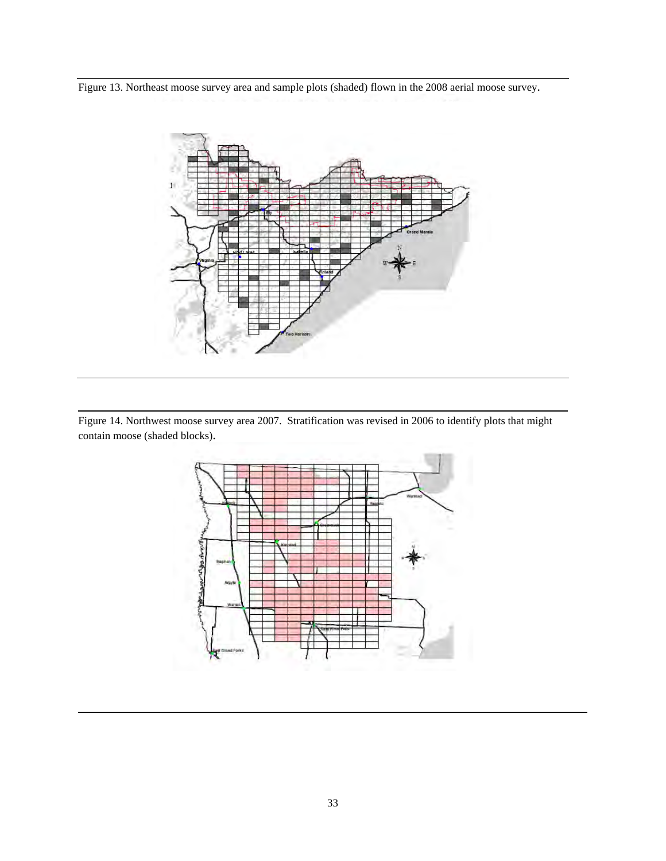Figure 13. Northeast moose survey area and sample plots (shaded) flown in the 2008 aerial moose survey.



Figure 14. Northwest moose survey area 2007. Stratification was revised in 2006 to identify plots that might contain moose (shaded blocks).

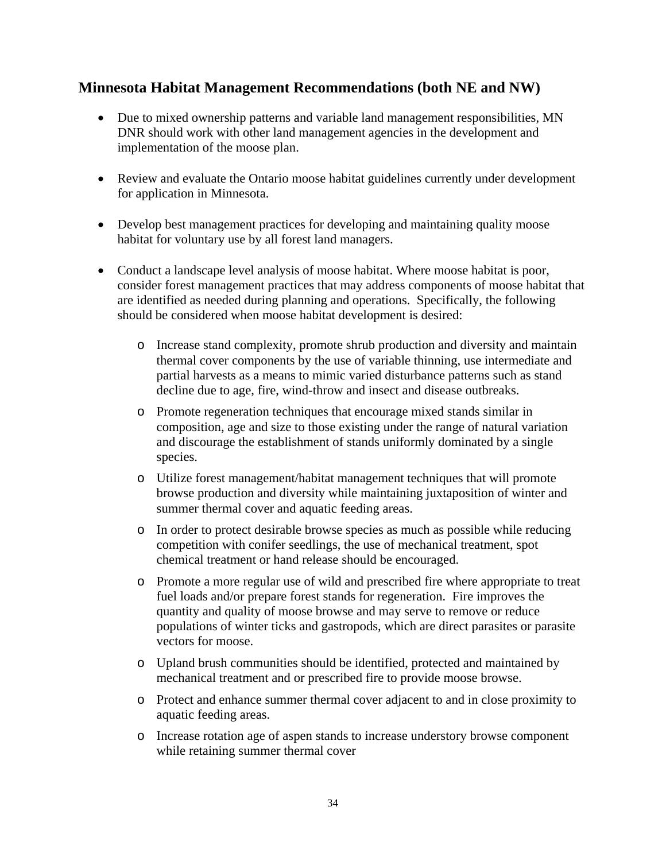## **Minnesota Habitat Management Recommendations (both NE and NW)**

- Due to mixed ownership patterns and variable land management responsibilities, MN DNR should work with other land management agencies in the development and implementation of the moose plan.
- Review and evaluate the Ontario moose habitat guidelines currently under development for application in Minnesota.
- Develop best management practices for developing and maintaining quality moose habitat for voluntary use by all forest land managers.
- Conduct a landscape level analysis of moose habitat. Where moose habitat is poor, consider forest management practices that may address components of moose habitat that are identified as needed during planning and operations. Specifically, the following should be considered when moose habitat development is desired:
	- o Increase stand complexity, promote shrub production and diversity and maintain thermal cover components by the use of variable thinning, use intermediate and partial harvests as a means to mimic varied disturbance patterns such as stand decline due to age, fire, wind-throw and insect and disease outbreaks.
	- o Promote regeneration techniques that encourage mixed stands similar in composition, age and size to those existing under the range of natural variation and discourage the establishment of stands uniformly dominated by a single species.
	- o Utilize forest management/habitat management techniques that will promote browse production and diversity while maintaining juxtaposition of winter and summer thermal cover and aquatic feeding areas.
	- o In order to protect desirable browse species as much as possible while reducing competition with conifer seedlings, the use of mechanical treatment, spot chemical treatment or hand release should be encouraged.
	- o Promote a more regular use of wild and prescribed fire where appropriate to treat fuel loads and/or prepare forest stands for regeneration. Fire improves the quantity and quality of moose browse and may serve to remove or reduce populations of winter ticks and gastropods, which are direct parasites or parasite vectors for moose.
	- o Upland brush communities should be identified, protected and maintained by mechanical treatment and or prescribed fire to provide moose browse.
	- o Protect and enhance summer thermal cover adjacent to and in close proximity to aquatic feeding areas.
	- o Increase rotation age of aspen stands to increase understory browse component while retaining summer thermal cover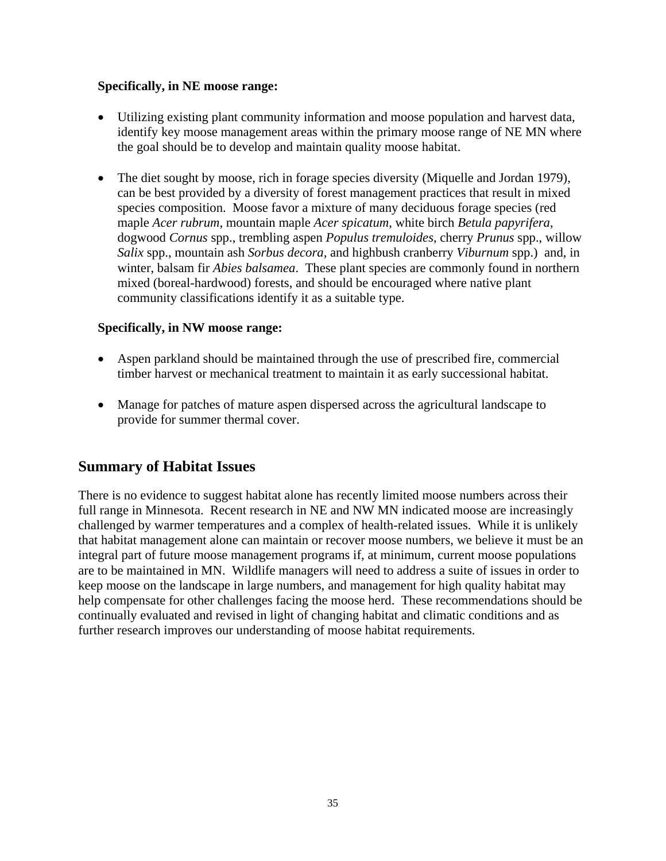### **Specifically, in NE moose range:**

- Utilizing existing plant community information and moose population and harvest data, identify key moose management areas within the primary moose range of NE MN where the goal should be to develop and maintain quality moose habitat.
- The diet sought by moose, rich in forage species diversity (Miquelle and Jordan 1979), can be best provided by a diversity of forest management practices that result in mixed species composition. Moose favor a mixture of many deciduous forage species (red maple *Acer rubrum*, mountain maple *Acer spicatum*, white birch *Betula papyrifera*, dogwood *Cornus* spp., trembling aspen *Populus tremuloides*, cherry *Prunus* spp., willow *Salix* spp., mountain ash *Sorbus decora*, and highbush cranberry *Viburnum* spp.) and, in winter, balsam fir *Abies balsamea*. These plant species are commonly found in northern mixed (boreal-hardwood) forests, and should be encouraged where native plant community classifications identify it as a suitable type.

### **Specifically, in NW moose range:**

- Aspen parkland should be maintained through the use of prescribed fire, commercial timber harvest or mechanical treatment to maintain it as early successional habitat.
- Manage for patches of mature aspen dispersed across the agricultural landscape to provide for summer thermal cover.

## **Summary of Habitat Issues**

There is no evidence to suggest habitat alone has recently limited moose numbers across their full range in Minnesota. Recent research in NE and NW MN indicated moose are increasingly challenged by warmer temperatures and a complex of health-related issues. While it is unlikely that habitat management alone can maintain or recover moose numbers, we believe it must be an integral part of future moose management programs if, at minimum, current moose populations are to be maintained in MN. Wildlife managers will need to address a suite of issues in order to keep moose on the landscape in large numbers, and management for high quality habitat may help compensate for other challenges facing the moose herd. These recommendations should be continually evaluated and revised in light of changing habitat and climatic conditions and as further research improves our understanding of moose habitat requirements.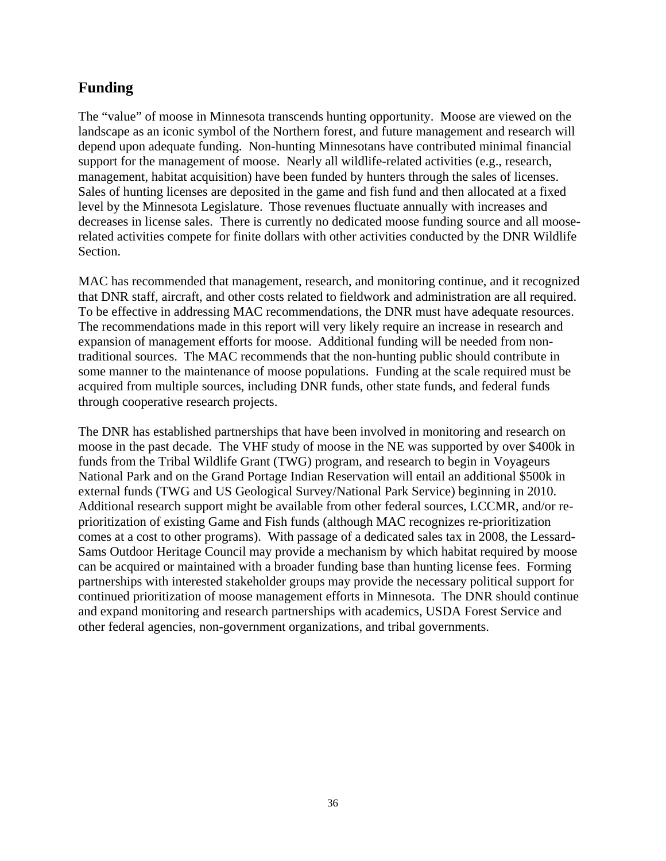## **Funding**

The "value" of moose in Minnesota transcends hunting opportunity. Moose are viewed on the landscape as an iconic symbol of the Northern forest, and future management and research will depend upon adequate funding. Non-hunting Minnesotans have contributed minimal financial support for the management of moose. Nearly all wildlife-related activities (e.g., research, management, habitat acquisition) have been funded by hunters through the sales of licenses. Sales of hunting licenses are deposited in the game and fish fund and then allocated at a fixed level by the Minnesota Legislature. Those revenues fluctuate annually with increases and decreases in license sales. There is currently no dedicated moose funding source and all mooserelated activities compete for finite dollars with other activities conducted by the DNR Wildlife Section.

MAC has recommended that management, research, and monitoring continue, and it recognized that DNR staff, aircraft, and other costs related to fieldwork and administration are all required. To be effective in addressing MAC recommendations, the DNR must have adequate resources. The recommendations made in this report will very likely require an increase in research and expansion of management efforts for moose. Additional funding will be needed from nontraditional sources. The MAC recommends that the non-hunting public should contribute in some manner to the maintenance of moose populations. Funding at the scale required must be acquired from multiple sources, including DNR funds, other state funds, and federal funds through cooperative research projects.

The DNR has established partnerships that have been involved in monitoring and research on moose in the past decade. The VHF study of moose in the NE was supported by over \$400k in funds from the Tribal Wildlife Grant (TWG) program, and research to begin in Voyageurs National Park and on the Grand Portage Indian Reservation will entail an additional \$500k in external funds (TWG and US Geological Survey/National Park Service) beginning in 2010. Additional research support might be available from other federal sources, LCCMR, and/or reprioritization of existing Game and Fish funds (although MAC recognizes re-prioritization comes at a cost to other programs). With passage of a dedicated sales tax in 2008, the Lessard-Sams Outdoor Heritage Council may provide a mechanism by which habitat required by moose can be acquired or maintained with a broader funding base than hunting license fees. Forming partnerships with interested stakeholder groups may provide the necessary political support for continued prioritization of moose management efforts in Minnesota. The DNR should continue and expand monitoring and research partnerships with academics, USDA Forest Service and other federal agencies, non-government organizations, and tribal governments.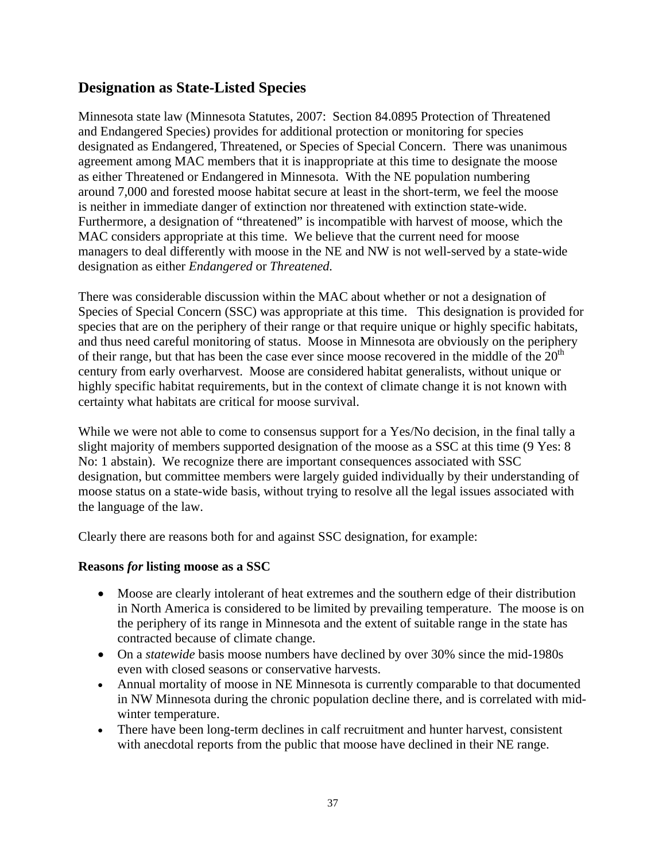## **Designation as State-Listed Species**

Minnesota state law (Minnesota Statutes, 2007: Section 84.0895 Protection of Threatened and Endangered Species) provides for additional protection or monitoring for species designated as Endangered, Threatened, or Species of Special Concern. There was unanimous agreement among MAC members that it is inappropriate at this time to designate the moose as either Threatened or Endangered in Minnesota. With the NE population numbering around 7,000 and forested moose habitat secure at least in the short-term, we feel the moose is neither in immediate danger of extinction nor threatened with extinction state-wide. Furthermore, a designation of "threatened" is incompatible with harvest of moose, which the MAC considers appropriate at this time. We believe that the current need for moose managers to deal differently with moose in the NE and NW is not well-served by a state-wide designation as either *Endangered* or *Threatened.*

There was considerable discussion within the MAC about whether or not a designation of Species of Special Concern (SSC) was appropriate at this time. This designation is provided for species that are on the periphery of their range or that require unique or highly specific habitats, and thus need careful monitoring of status. Moose in Minnesota are obviously on the periphery of their range, but that has been the case ever since moose recovered in the middle of the  $20<sup>th</sup>$ century from early overharvest. Moose are considered habitat generalists, without unique or highly specific habitat requirements, but in the context of climate change it is not known with certainty what habitats are critical for moose survival.

While we were not able to come to consensus support for a Yes/No decision, in the final tally a slight majority of members supported designation of the moose as a SSC at this time (9 Yes: 8 No: 1 abstain). We recognize there are important consequences associated with SSC designation, but committee members were largely guided individually by their understanding of moose status on a state-wide basis, without trying to resolve all the legal issues associated with the language of the law.

Clearly there are reasons both for and against SSC designation, for example:

### **Reasons** *for* **listing moose as a SSC**

- Moose are clearly intolerant of heat extremes and the southern edge of their distribution in North America is considered to be limited by prevailing temperature. The moose is on the periphery of its range in Minnesota and the extent of suitable range in the state has contracted because of climate change.
- On a *statewide* basis moose numbers have declined by over 30% since the mid-1980s even with closed seasons or conservative harvests.
- Annual mortality of moose in NE Minnesota is currently comparable to that documented in NW Minnesota during the chronic population decline there, and is correlated with midwinter temperature.
- There have been long-term declines in calf recruitment and hunter harvest, consistent with anecdotal reports from the public that moose have declined in their NE range.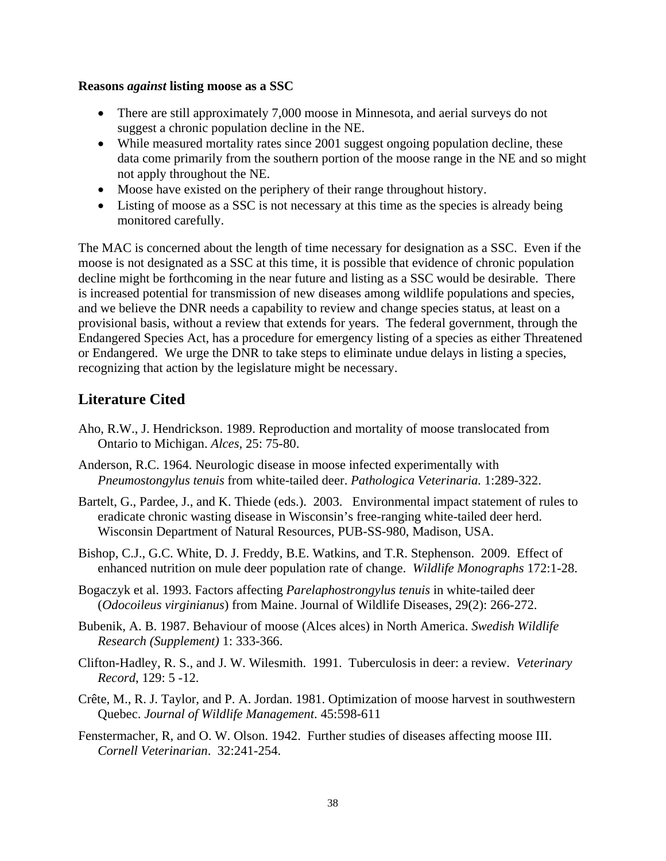#### **Reasons** *against* **listing moose as a SSC**

- There are still approximately 7,000 moose in Minnesota, and aerial surveys do not suggest a chronic population decline in the NE.
- While measured mortality rates since 2001 suggest ongoing population decline, these data come primarily from the southern portion of the moose range in the NE and so might not apply throughout the NE.
- Moose have existed on the periphery of their range throughout history.
- Listing of moose as a SSC is not necessary at this time as the species is already being monitored carefully.

The MAC is concerned about the length of time necessary for designation as a SSC. Even if the moose is not designated as a SSC at this time, it is possible that evidence of chronic population decline might be forthcoming in the near future and listing as a SSC would be desirable. There is increased potential for transmission of new diseases among wildlife populations and species, and we believe the DNR needs a capability to review and change species status, at least on a provisional basis, without a review that extends for years. The federal government, through the Endangered Species Act, has a procedure for emergency listing of a species as either Threatened or Endangered. We urge the DNR to take steps to eliminate undue delays in listing a species, recognizing that action by the legislature might be necessary.

## **Literature Cited**

- Aho, R.W., J. Hendrickson. 1989. Reproduction and mortality of moose translocated from Ontario to Michigan. *Alces,* 25: 75-80.
- Anderson, R.C. 1964. Neurologic disease in moose infected experimentally with *Pneumostongylus tenuis* from white-tailed deer. *Pathologica Veterinaria.* 1:289-322.
- Bartelt, G., Pardee, J., and K. Thiede (eds.). 2003. Environmental impact statement of rules to eradicate chronic wasting disease in Wisconsin's free-ranging white-tailed deer herd. Wisconsin Department of Natural Resources, PUB-SS-980, Madison, USA.
- Bishop, C.J., G.C. White, D. J. Freddy, B.E. Watkins, and T.R. Stephenson. 2009. Effect of enhanced nutrition on mule deer population rate of change. *Wildlife Monographs* 172:1-28.
- Bogaczyk et al. 1993. Factors affecting *Parelaphostrongylus tenuis* in white-tailed deer (*Odocoileus virginianus*) from Maine. Journal of Wildlife Diseases, 29(2): 266-272.
- Bubenik, A. B. 1987. Behaviour of moose (Alces alces) in North America. *Swedish Wildlife Research (Supplement)* 1: 333-366.
- Clifton-Hadley, R. S., and J. W. Wilesmith. 1991. Tuberculosis in deer: a review. *Veterinary Record*, 129: 5 -12.
- Crête, M., R. J. Taylor, and P. A. Jordan. 1981. Optimization of moose harvest in southwestern Quebec. *Journal of Wildlife Management*. 45:598-611
- Fenstermacher, R, and O. W. Olson. 1942. Further studies of diseases affecting moose III. *Cornell Veterinarian*. 32:241-254.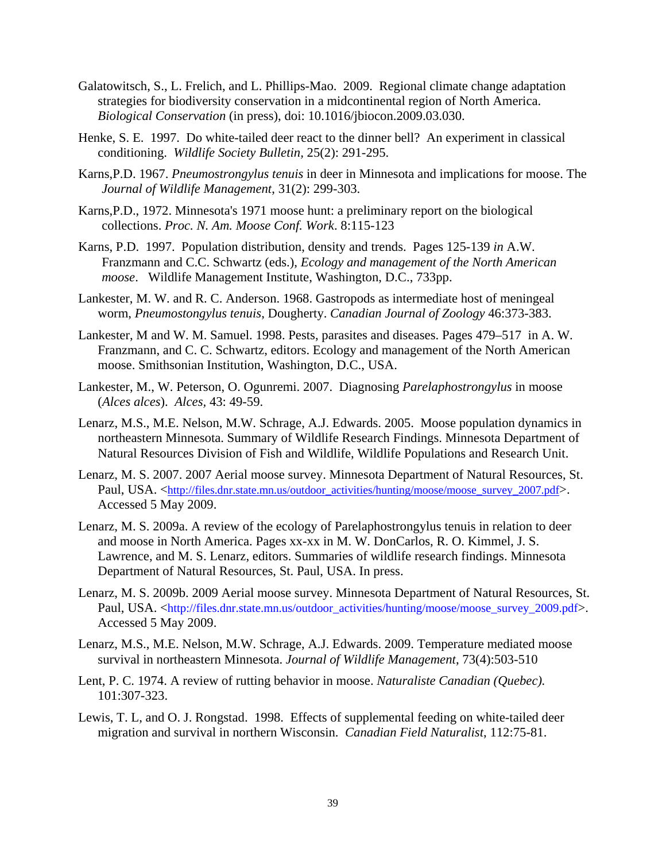- Galatowitsch, S., L. Frelich, and L. Phillips-Mao. 2009. Regional climate change adaptation strategies for biodiversity conservation in a midcontinental region of North America. *Biological Conservation* (in press), doi: 10.1016/jbiocon.2009.03.030.
- Henke, S. E. 1997. Do white-tailed deer react to the dinner bell? An experiment in classical conditioning. *Wildlife Society Bulletin,* 25(2): 291-295.
- Karns,P.D. 1967. *Pneumostrongylus tenuis* in deer in Minnesota and implications for moose. The *Journal of Wildlife Management*, 31(2): 299-303.
- Karns,P.D., 1972. Minnesota's 1971 moose hunt: a preliminary report on the biological collections. *Proc. N. Am. Moose Conf. Work*. 8:115-123
- Karns, P.D. 1997. Population distribution, density and trends. Pages 125-139 *in* A.W. Franzmann and C.C. Schwartz (eds.), *Ecology and management of the North American moose*. Wildlife Management Institute, Washington, D.C., 733pp.
- Lankester, M. W. and R. C. Anderson. 1968. Gastropods as intermediate host of meningeal worm, *Pneumostongylus tenuis*, Dougherty. *Canadian Journal of Zoology* 46:373-383.
- Lankester, M and W. M. Samuel. 1998. Pests, parasites and diseases. Pages 479–517 in A. W. Franzmann, and C. C. Schwartz, editors. Ecology and management of the North American moose. Smithsonian Institution, Washington, D.C., USA.
- Lankester, M., W. Peterson, O. Ogunremi. 2007. Diagnosing *Parelaphostrongylus* in moose (*Alces alces*). *Alces,* 43: 49-59.
- Lenarz, M.S., M.E. Nelson, M.W. Schrage, A.J. Edwards. 2005. Moose population dynamics in northeastern Minnesota. Summary of Wildlife Research Findings. Minnesota Department of Natural Resources Division of Fish and Wildlife, Wildlife Populations and Research Unit.
- Lenarz, M. S. 2007. 2007 Aerial moose survey. Minnesota Department of Natural Resources, St. Paul, USA. <http://files.dnr.state.mn.us/outdoor\_activities/hunting/moose/moose\_survey\_2007.pdf>. Accessed 5 May 2009.
- Lenarz, M. S. 2009a. A review of the ecology of Parelaphostrongylus tenuis in relation to deer and moose in North America. Pages xx-xx in M. W. DonCarlos, R. O. Kimmel, J. S. Lawrence, and M. S. Lenarz, editors. Summaries of wildlife research findings. Minnesota Department of Natural Resources, St. Paul, USA. In press.
- Lenarz, M. S. 2009b. 2009 Aerial moose survey. Minnesota Department of Natural Resources, St. Paul, USA. <http://files.dnr.state.mn.us/outdoor\_activities/hunting/moose/moose\_survey\_2009.pdf>. Accessed 5 May 2009.
- Lenarz, M.S., M.E. Nelson, M.W. Schrage, A.J. Edwards. 2009. Temperature mediated moose survival in northeastern Minnesota. *Journal of Wildlife Management*, 73(4):503-510
- Lent, P. C. 1974. A review of rutting behavior in moose. *Naturaliste Canadian (Quebec).* 101:307-323.
- Lewis, T. L, and O. J. Rongstad. 1998. Effects of supplemental feeding on white-tailed deer migration and survival in northern Wisconsin. *Canadian Field Naturalist*, 112:75-81.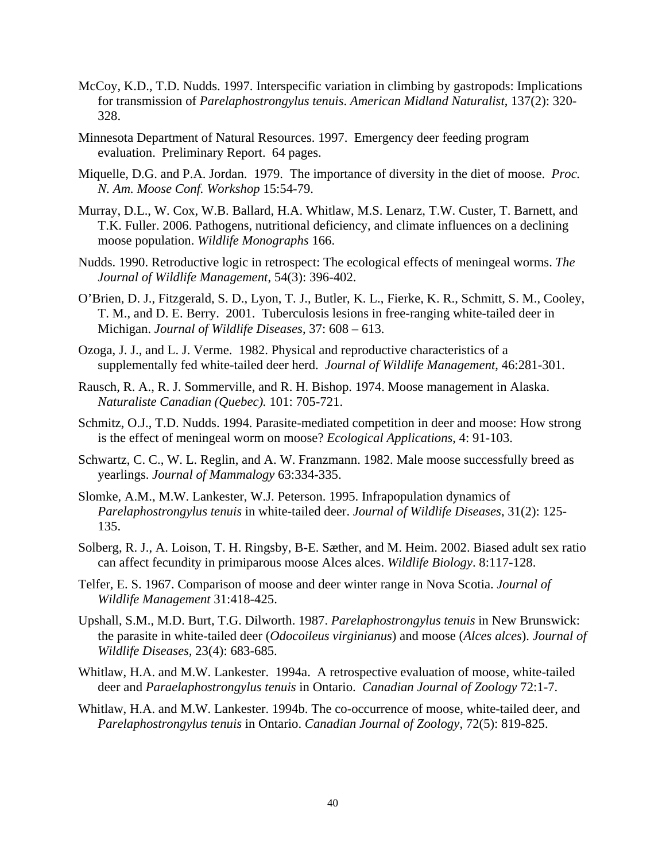- McCoy, K.D., T.D. Nudds. 1997. Interspecific variation in climbing by gastropods: Implications for transmission of *Parelaphostrongylus tenuis*. *American Midland Naturalist*, 137(2): 320- 328.
- Minnesota Department of Natural Resources. 1997. Emergency deer feeding program evaluation. Preliminary Report. 64 pages.
- Miquelle, D.G. and P.A. Jordan. 1979. The importance of diversity in the diet of moose. *Proc. N. Am. Moose Conf. Workshop* 15:54-79.
- Murray, D.L., W. Cox, W.B. Ballard, H.A. Whitlaw, M.S. Lenarz, T.W. Custer, T. Barnett, and T.K. Fuller. 2006. Pathogens, nutritional deficiency, and climate influences on a declining moose population. *Wildlife Monographs* 166.
- Nudds. 1990. Retroductive logic in retrospect: The ecological effects of meningeal worms. *The Journal of Wildlife Management*, 54(3): 396-402.
- O'Brien, D. J., Fitzgerald, S. D., Lyon, T. J., Butler, K. L., Fierke, K. R., Schmitt, S. M., Cooley, T. M., and D. E. Berry. 2001. Tuberculosis lesions in free-ranging white-tailed deer in Michigan. *Journal of Wildlife Diseases*, 37: 608 – 613.
- Ozoga, J. J., and L. J. Verme. 1982. Physical and reproductive characteristics of a supplementally fed white-tailed deer herd. *Journal of Wildlife Management*, 46:281-301.
- Rausch, R. A., R. J. Sommerville, and R. H. Bishop. 1974. Moose management in Alaska. *Naturaliste Canadian (Quebec).* 101: 705-721.
- Schmitz, O.J., T.D. Nudds. 1994. Parasite-mediated competition in deer and moose: How strong is the effect of meningeal worm on moose? *Ecological Applications*, 4: 91-103.
- Schwartz, C. C., W. L. Reglin, and A. W. Franzmann. 1982. Male moose successfully breed as yearlings. *Journal of Mammalogy* 63:334-335.
- Slomke, A.M., M.W. Lankester, W.J. Peterson. 1995. Infrapopulation dynamics of *Parelaphostrongylus tenuis* in white-tailed deer. *Journal of Wildlife Diseases*, 31(2): 125- 135.
- Solberg, R. J., A. Loison, T. H. Ringsby, B-E. Sæther, and M. Heim. 2002. Biased adult sex ratio can affect fecundity in primiparous moose Alces alces. *Wildlife Biology*. 8:117-128.
- Telfer, E. S. 1967. Comparison of moose and deer winter range in Nova Scotia. *Journal of Wildlife Management* 31:418-425.
- Upshall, S.M., M.D. Burt, T.G. Dilworth. 1987. *Parelaphostrongylus tenuis* in New Brunswick: the parasite in white-tailed deer (*Odocoileus virginianus*) and moose (*Alces alces*). *Journal of Wildlife Diseases,* 23(4): 683-685.
- Whitlaw, H.A. and M.W. Lankester. 1994a. A retrospective evaluation of moose, white-tailed deer and *Paraelaphostrongylus tenuis* in Ontario. *Canadian Journal of Zoology* 72:1-7.
- Whitlaw, H.A. and M.W. Lankester. 1994b. The co-occurrence of moose, white-tailed deer, and *Parelaphostrongylus tenuis* in Ontario. *Canadian Journal of Zoology*, 72(5): 819-825.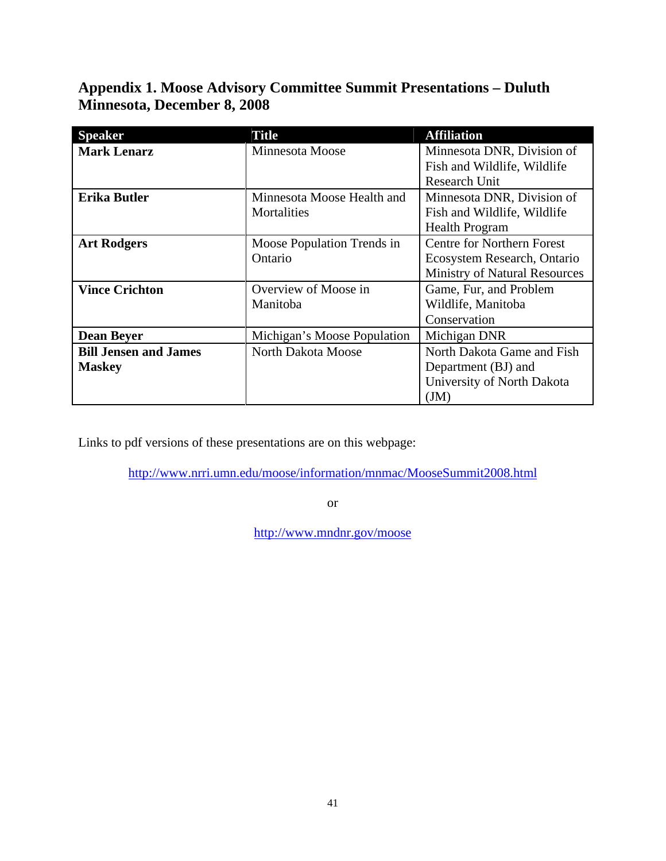## **Appendix 1. Moose Advisory Committee Summit Presentations – Duluth Minnesota, December 8, 2008**

| <b>Speaker</b>               | Title                       | <b>Affiliation</b>                   |  |
|------------------------------|-----------------------------|--------------------------------------|--|
| <b>Mark Lenarz</b>           | Minnesota Moose             | Minnesota DNR, Division of           |  |
|                              |                             | Fish and Wildlife, Wildlife          |  |
|                              |                             | <b>Research Unit</b>                 |  |
| <b>Erika Butler</b>          | Minnesota Moose Health and  | Minnesota DNR, Division of           |  |
|                              | Mortalities                 | Fish and Wildlife, Wildlife          |  |
|                              |                             | <b>Health Program</b>                |  |
| <b>Art Rodgers</b>           | Moose Population Trends in  | <b>Centre for Northern Forest</b>    |  |
|                              | Ontario                     | Ecosystem Research, Ontario          |  |
|                              |                             | <b>Ministry of Natural Resources</b> |  |
| <b>Vince Crichton</b>        | Overview of Moose in        | Game, Fur, and Problem               |  |
|                              | Manitoba                    | Wildlife, Manitoba                   |  |
|                              |                             | Conservation                         |  |
| <b>Dean Beyer</b>            | Michigan's Moose Population | Michigan DNR                         |  |
| <b>Bill Jensen and James</b> | North Dakota Moose          | North Dakota Game and Fish           |  |
| <b>Maskey</b>                |                             | Department (BJ) and                  |  |
|                              |                             | University of North Dakota           |  |
|                              |                             | JM)                                  |  |

Links to pdf versions of these presentations are on this webpage:

http://www.nrri.umn.edu/moose/information/mnmac/MooseSummit2008.html

or

http://www.mndnr.gov/moose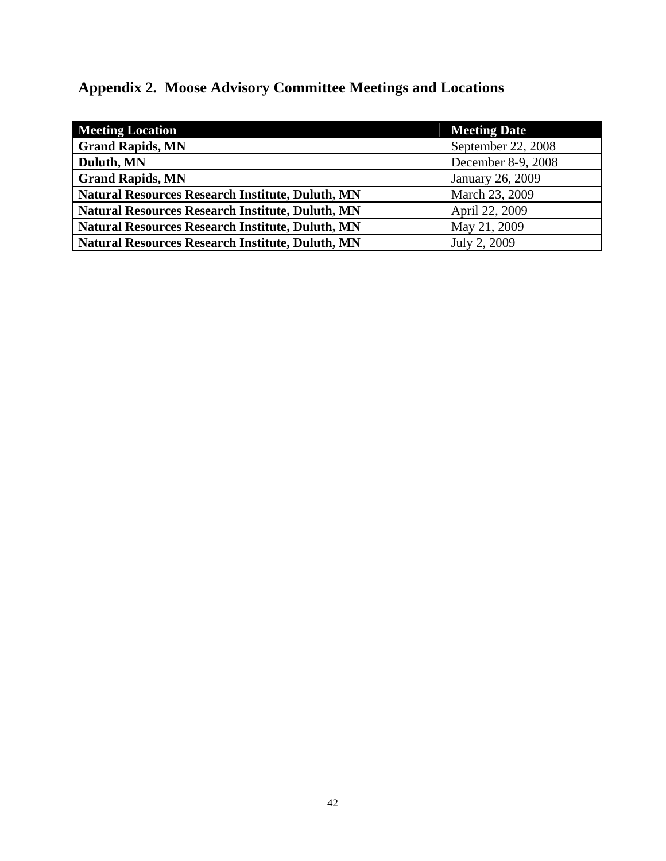# **Appendix 2. Moose Advisory Committee Meetings and Locations**

| <b>Meeting Location</b>                                 | <b>Meeting Date</b> |
|---------------------------------------------------------|---------------------|
| <b>Grand Rapids, MN</b>                                 | September 22, 2008  |
| Duluth, MN                                              | December 8-9, 2008  |
| <b>Grand Rapids, MN</b>                                 | January 26, 2009    |
| <b>Natural Resources Research Institute, Duluth, MN</b> | March 23, 2009      |
| <b>Natural Resources Research Institute, Duluth, MN</b> | April 22, 2009      |
| <b>Natural Resources Research Institute, Duluth, MN</b> | May 21, 2009        |
| Natural Resources Research Institute, Duluth, MN        | July 2, 2009        |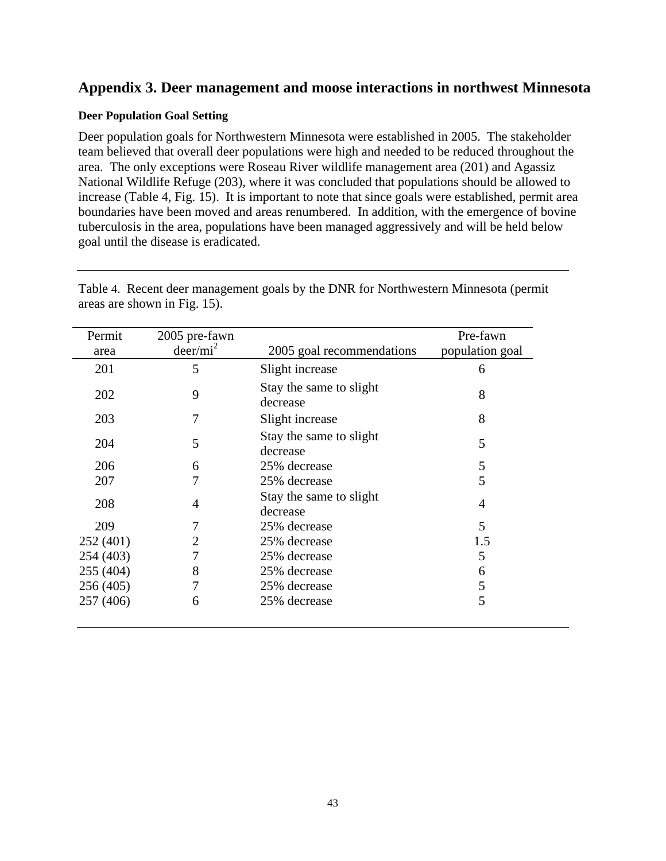### **Appendix 3. Deer management and moose interactions in northwest Minnesota**

#### **Deer Population Goal Setting**

Deer population goals for Northwestern Minnesota were established in 2005. The stakeholder team believed that overall deer populations were high and needed to be reduced throughout the area. The only exceptions were Roseau River wildlife management area (201) and Agassiz National Wildlife Refuge (203), where it was concluded that populations should be allowed to increase (Table 4, Fig. 15). It is important to note that since goals were established, permit area boundaries have been moved and areas renumbered. In addition, with the emergence of bovine tuberculosis in the area, populations have been managed aggressively and will be held below goal until the disease is eradicated.

| Permit    | 2005 pre-fawn |                                     | Pre-fawn        |
|-----------|---------------|-------------------------------------|-----------------|
| area      | $deer/mi^2$   | 2005 goal recommendations           | population goal |
| 201       | 5             | Slight increase                     | 6               |
| 202       | 9             | Stay the same to slight<br>decrease | 8               |
| 203       | 7             | Slight increase                     | 8               |
| 204       | 5             | Stay the same to slight<br>decrease | 5               |
| 206       | 6             | 25% decrease                        | 5               |
| 207       |               | 25% decrease                        | 5               |
| 208       | 4             | Stay the same to slight<br>decrease | 4               |
| 209       |               | 25% decrease                        | 5               |
| 252 (401) |               | 25% decrease                        | 1.5             |
| 254 (403) |               | 25% decrease                        | 5               |
| 255 (404) | 8             | 25% decrease                        | 6               |
| 256 (405) | 7             | 25% decrease                        | 5               |
| 257 (406) | 6             | 25% decrease                        | 5               |

Table 4. Recent deer management goals by the DNR for Northwestern Minnesota (permit areas are shown in Fig. 15).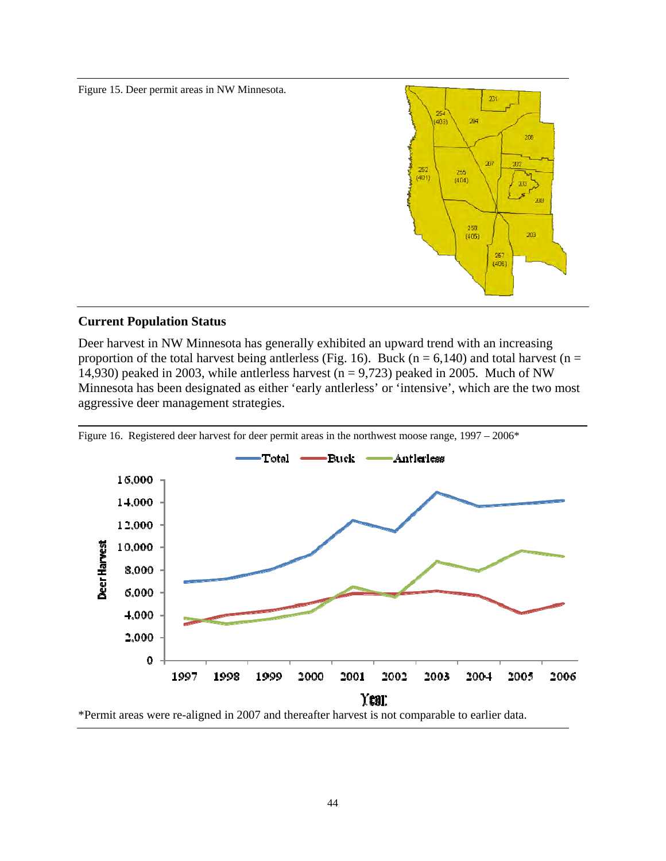Figure 15. Deer permit areas in NW Minnesota.



### **Current Population Status**

Deer harvest in NW Minnesota has generally exhibited an upward trend with an increasing proportion of the total harvest being antlerless (Fig. 16). Buck ( $n = 6,140$ ) and total harvest ( $n =$ 14,930) peaked in 2003, while antlerless harvest ( $n = 9,723$ ) peaked in 2005. Much of NW Minnesota has been designated as either 'early antlerless' or 'intensive', which are the two most aggressive deer management strategies.



Figure 16. Registered deer harvest for deer permit areas in the northwest moose range, 1997 – 2006\*

\*Permit areas were re-aligned in 2007 and thereafter harvest is not comparable to earlier data.